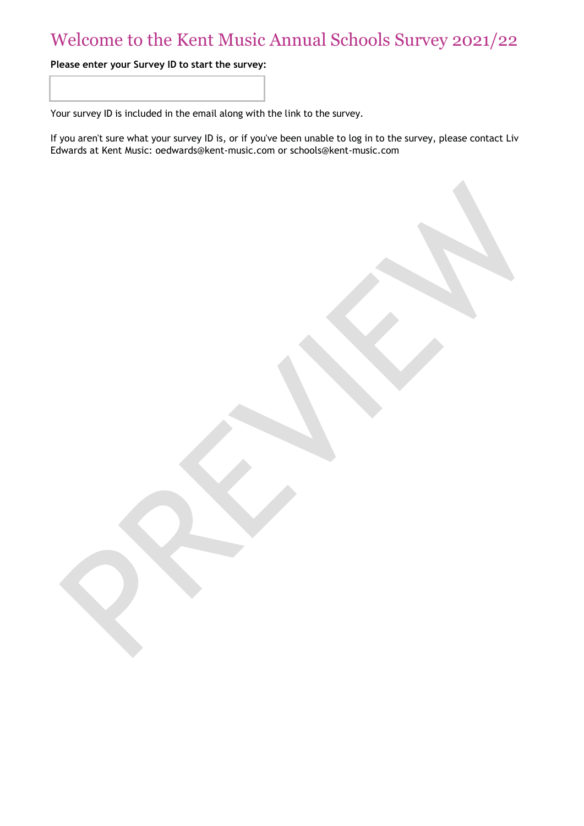# Welcome to the Kent Music Annual Schools Survey 2021/22

**Please enter your Survey ID to start the survey:**

Your survey ID is included in the email along with the link to the survey.

If you aren't sure what your survey ID is, or if you've been unable to log in to the survey, please contact Liv Edwards at Kent Music: [oedwards@kent-music.com](mailto:oedwards@kent-music.com) or [schools@kent-music.com](mailto:schools@kent-music.com)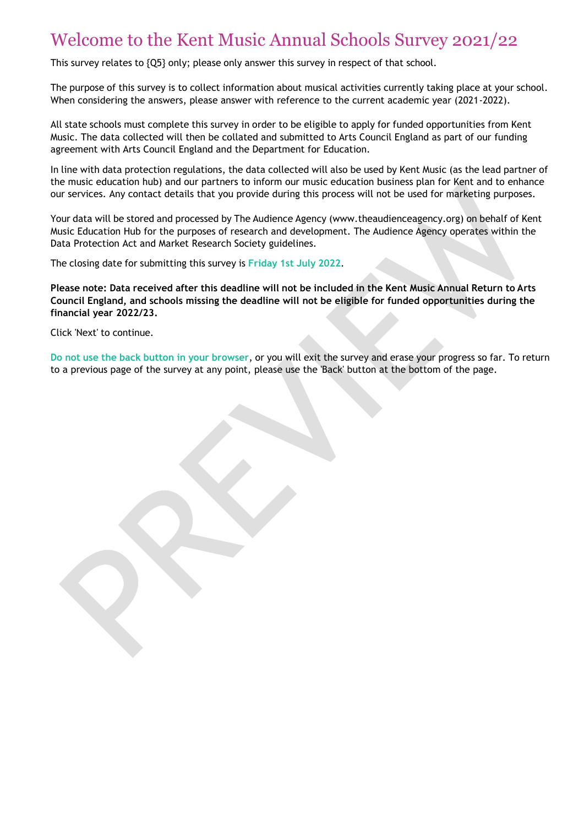# Welcome to the Kent Music Annual Schools Survey 2021/22

This survey relates to {Q5} only; please only answer this survey in respect of that school.

The purpose of this survey is to collect information about musical activities currently taking place at your school. When considering the answers, please answer with reference to the current academic year (2021-2022).

All state schools must complete this survey in order to be eligible to apply for funded opportunities from Kent Music. The data collected will then be collated and submitted to Arts Council England as part of our funding agreement with Arts Council England and the Department for Education.

In line with data protection regulations, the data collected will also be used by Kent Music (as the lead partner of the music education hub) and our partners to inform our music education business plan for Kent and to enhance our services. Any contact details that you provide during this process will not be used for marketing purposes.

Your data will be stored and processed by The Audience Agency (www.theaudienceagency.org) on behalf of Kent Music Education Hub for the purposes of research and development. The Audience Agency operates within the Data Protection Act and Market Research Society guidelines.

The closing date for submitting this survey is **Friday 1st July 2022**.

Please note: Data received after this deadline will not be included in the Kent Music Annual Return to Arts **Council England, and schools missing the deadline will not be eligible for funded opportunities during the financial year 2022/23.**

Click 'Next' to continue.

**Do not use the back button in your browser**, or you will exit the survey and erase your progress so far. To return to a previous page of the survey at any point, please use the 'Back' button at the bottom of the page.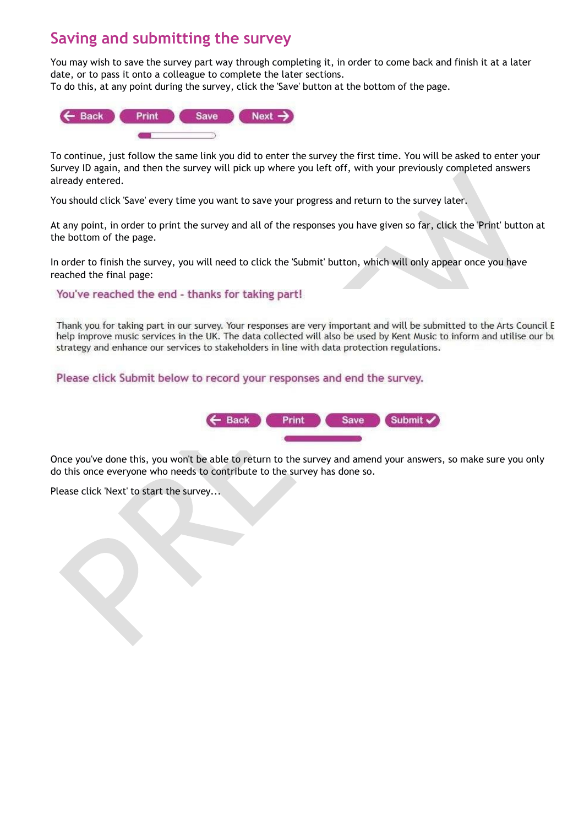### **Saving and submitting the survey**

You may wish to save the survey part way through completing it, in order to come back and finish it at a later date, or to pass it onto a colleague to complete the later sections. To do this, at any point during the survey, click the 'Save' button at the bottom of the page.



To continue, just follow the same link you did to enter the survey the first time. You will be asked to enter your Survey ID again, and then the survey will pick up where you left off, with your previously completed answers already entered.

You should click 'Save' every time you want to save your progress and return to the survey later.

At any point, in order to print the survey and all of the responses you have given so far, click the 'Print' button at the bottom of the page.

In order to finish the survey, you will need to click the 'Submit' button, which will only appear once you have reached the final page:

You've reached the end - thanks for taking part!

Thank you for taking part in our survey. Your responses are very important and will be submitted to the Arts Council E help improve music services in the UK. The data collected will also be used by Kent Music to inform and utilise our bu strategy and enhance our services to stakeholders in line with data protection regulations.

Please click Submit below to record your responses and end the survey.



Once you've done this, you won't be able to return to the survey and amend your answers, so make sure you only do this once everyone who needs to contribute to the survey has done so.

Please click 'Next' to start the survey...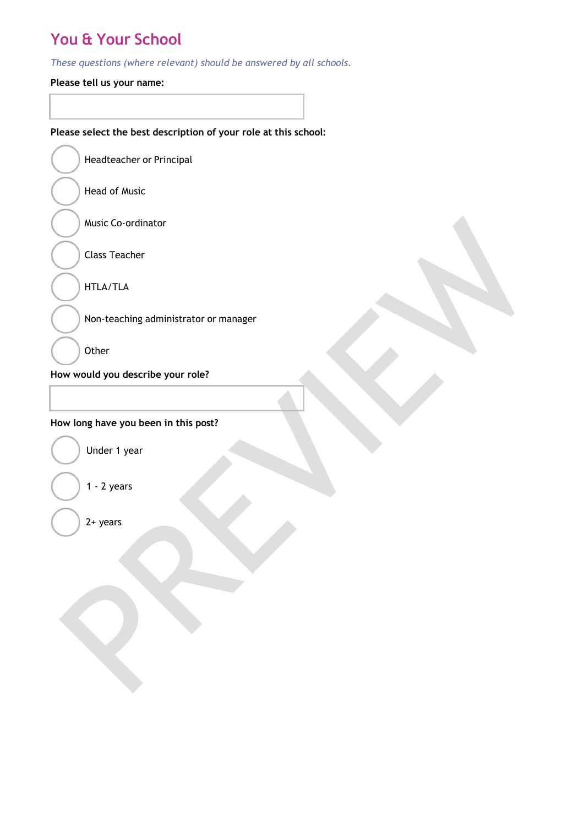## **You & Your School**

*These questions (where relevant) should be answered by all schools.*

### **Please tell us your name:**

### **Please select the best description of your role at this school:**

Headteacher or Principal

Head of Music

Music Co-ordinator

Class Teacher

HTLA/TLA

Non-teaching administrator or manager

**Other** 

### **How would you describe your role?**

### **How long have you been in this post?**

Under 1 year

1 - 2 years

2+ years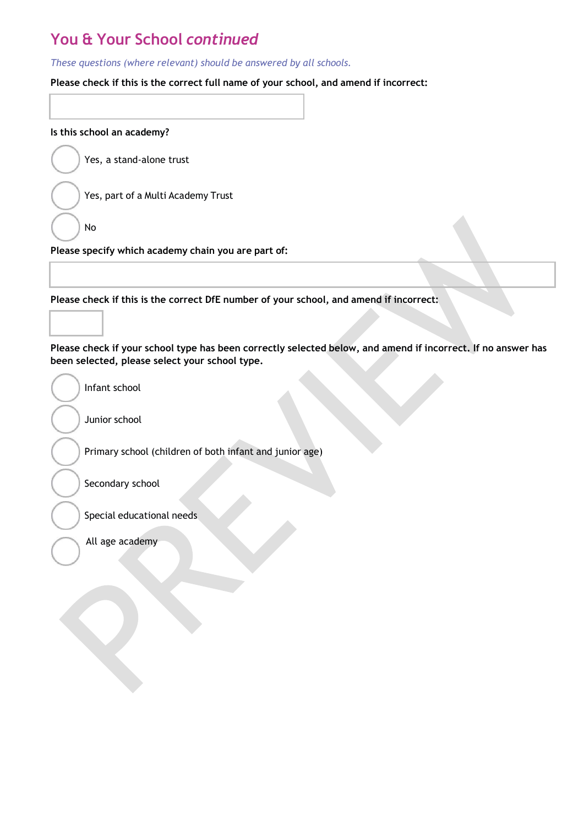## **You & Your School** *continued*

*These questions (where relevant) should be answered by all schools.*

**Please check if this is the correct full name of your school, and amend if incorrect:**

**Is this school an academy?**

Yes, a stand-alone trust

Yes, part of a Multi Academy Trust

No

**Please specify which academy chain you are part of:**

**Please check if this is the correct DfE number of your school, and amend if incorrect:**

Please check if your school type has been correctly selected below, and amend if incorrect. If no answer has **been selected, please select your school type.**

Infant school

Junior school

Primary school (children of both infant and junior age)

Secondary school

Special educational needs

All age academy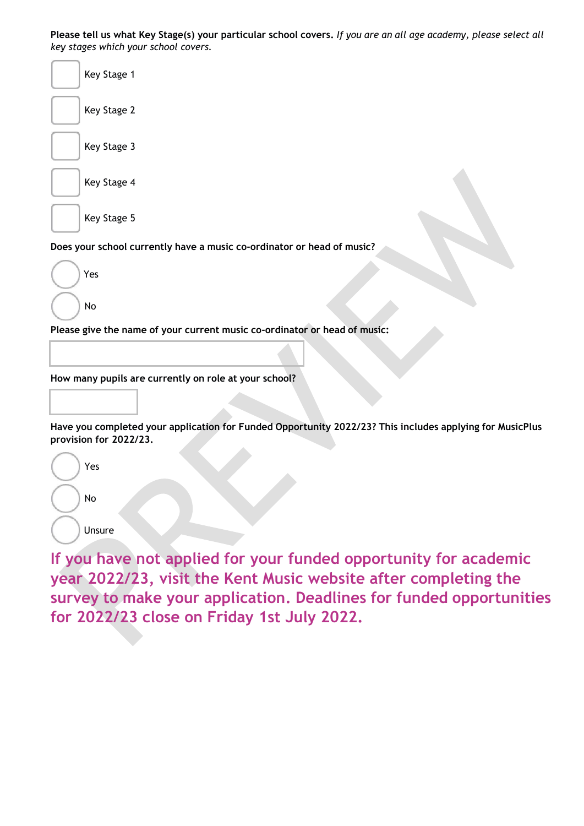Please tell us what Key Stage(s) your particular school covers. If you are an all age academy, please select all *key stages which your school covers.*





**Please give the name of your current music co-ordinator or head of music:**

**How many pupils are currently on role at your school?**

**Have you completed your application for Funded Opportunity 2022/23? This includes applying for MusicPlus provision for 2022/23.**

Yes No Unsure

**If you have not applied for your funded opportunity for academic year 2022/23, visit the Kent Music website after completing the survey to make your application. Deadlines for funded opportunities for 2022/23 close on Friday 1st July 2022.**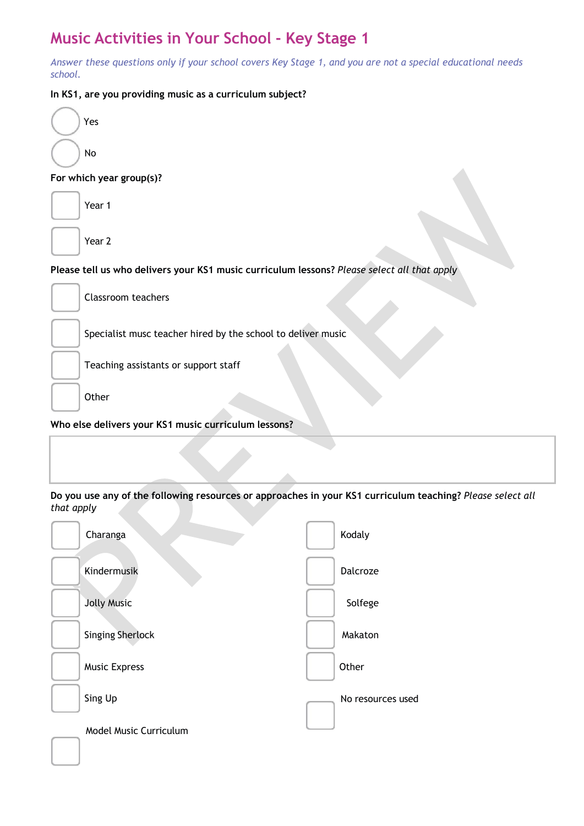## **Music Activities in Your School - Key Stage 1**

Answer these questions only if your school covers Key Stage 1, and you are not a special educational needs *school.*

### **In KS1, are you providing music as a curriculum subject?**



### **For which year group(s)?**

| Year 1 |  |
|--------|--|
|        |  |

Year 2

### **Please tell us who delivers your KS1 music curriculum lessons?** *Please select all that apply*



Classroom teachers

Specialist musc teacher hired by the school to deliver music

Teaching assistants or support staff

**Other** 

### **Who else delivers your KS1 music curriculum lessons?**

|            |  |  | Do you use any of the following resources or approaches in your KS1 curriculum teaching? Please select all |
|------------|--|--|------------------------------------------------------------------------------------------------------------|
| that apply |  |  |                                                                                                            |

| Charanga                | Kodaly            |
|-------------------------|-------------------|
| Kindermusik             | Dalcroze          |
| <b>Jolly Music</b>      | Solfege           |
| <b>Singing Sherlock</b> | Makaton           |
| <b>Music Express</b>    | Other             |
| Sing Up                 | No resources used |
| Model Music Curriculum  |                   |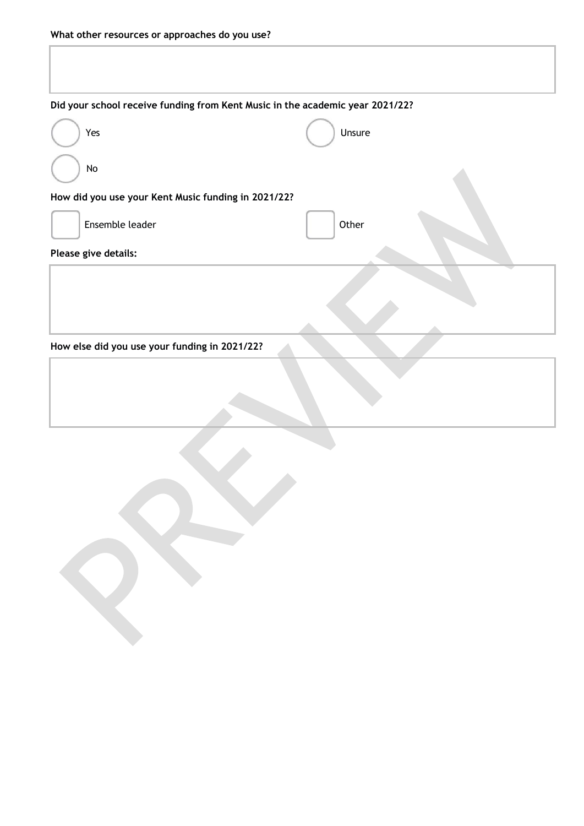| Did your school receive funding from Kent Music in the academic year 2021/22? |        |
|-------------------------------------------------------------------------------|--------|
| Yes                                                                           | Unsure |
| No                                                                            |        |
| How did you use your Kent Music funding in 2021/22?                           |        |
| Ensemble leader                                                               | Other  |
| Please give details:                                                          |        |
|                                                                               |        |

**How else did you use your funding in 2021/22?**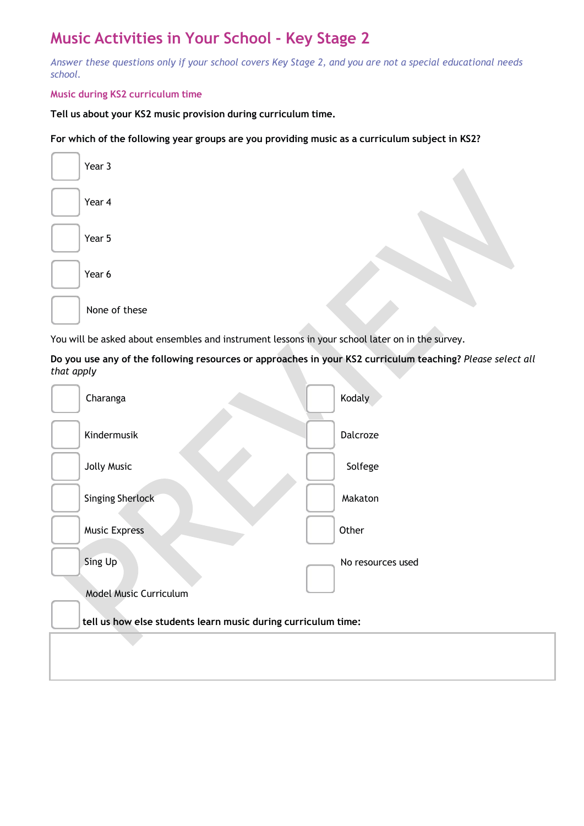### **Music Activities in Your School - Key Stage 2**

Answer these questions only if your school covers Key Stage 2, and you are not a special educational needs *school.*

### **Music during KS2 curriculum time**

**Tell us about your KS2 music provision during curriculum time.**

### **For which of the following year groups are you providing music as a curriculum subject in KS2?**

| Year 3        |  |
|---------------|--|
| Year 4        |  |
| Year 5        |  |
| Year 6        |  |
| None of these |  |

You will be asked about ensembles and instrument lessons in your school later on in the survey.

Do you use any of the following resources or approaches in your KS2 curriculum teaching? Please select all *that apply*

| Charanga                                                      | Kodaly            |
|---------------------------------------------------------------|-------------------|
| Kindermusik                                                   | Dalcroze          |
| <b>Jolly Music</b>                                            | Solfege           |
| <b>Singing Sherlock</b>                                       | Makaton           |
| <b>Music Express</b>                                          | Other             |
| Sing Up                                                       | No resources used |
| <b>Model Music Curriculum</b>                                 |                   |
| tell us how else students learn music during curriculum time: |                   |
|                                                               |                   |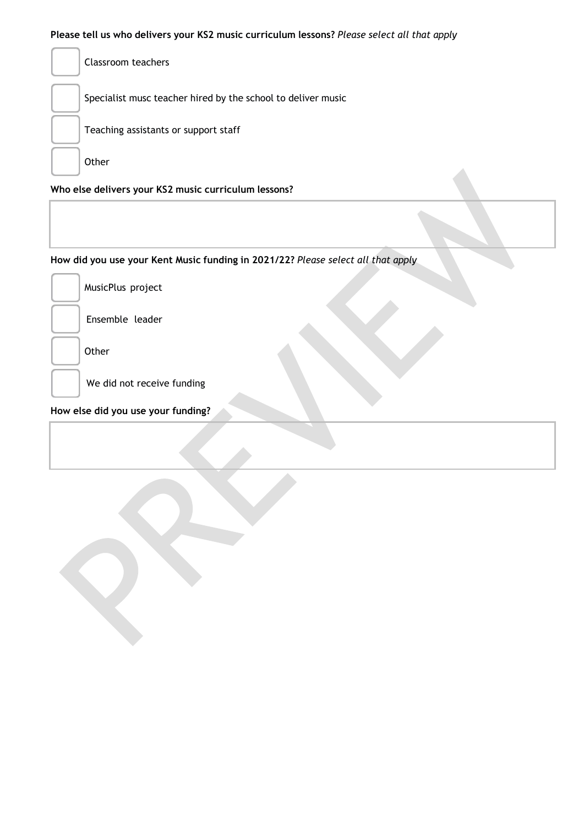### **Please tell us who delivers your KS2 music curriculum lessons?** *Please select all that apply*

| Classroom teachers                                           |  |
|--------------------------------------------------------------|--|
| Specialist musc teacher hired by the school to deliver music |  |
| Teaching assistants or support staff                         |  |
| Other                                                        |  |
| Who else delivers your KS2 music curriculum lessons?         |  |

**How did you use your Kent Music funding in 2021/22?** *Please select all that apply*

MusicPlus project

Ensemble leader

**Other** 

We did not receive funding

### **How else did you use your funding?**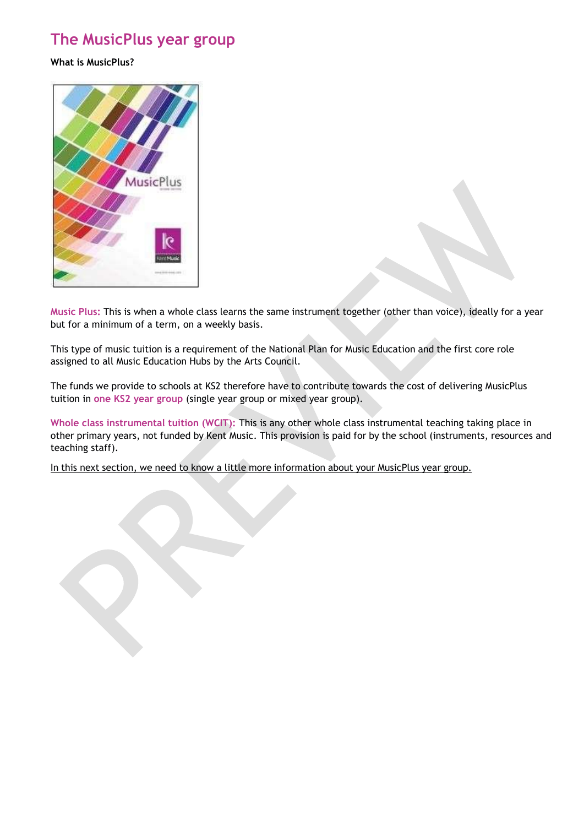## **The MusicPlus year group**

**What is MusicPlus?**



**Music Plus:** This is when a whole class learns the same instrument together (other than voice), ideally for a year but for a minimum of a term, on a weekly basis.

This type of music tuition is a requirement of the National Plan for Music Education and the first core role assigned to all Music Education Hubs by the Arts Council.

The funds we provide to schools at KS2 therefore have to contribute towards the cost of delivering MusicPlus tuition in **one KS2 year group** (single year group or mixed year group).

**Whole class instrumental tuition (WCIT):** This is any other whole class instrumental teaching taking place in other primary years, not funded by Kent Music. This provision is paid for by the school (instruments, resources and teaching staff).

In this next section, we need to know a little more information about your MusicPlus year group.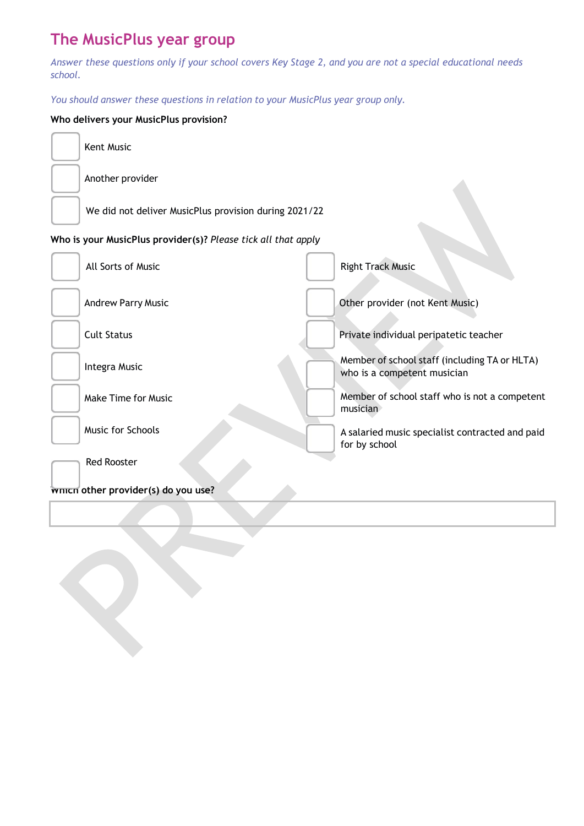## **The MusicPlus year group**

Answer these questions only if your school covers Key Stage 2, and you are not a special educational needs *school.*

*You should answer these questions in relation to your MusicPlus year group only.*

### **Who delivers your MusicPlus provision?**

Another provider

Kent Music

We did not deliver MusicPlus provision during 2021/22

### **Who is your MusicPlus provider(s)?** *Please tick all that apply*

| All Sorts of Music                  | <b>Right Track Music</b>                                                     |
|-------------------------------------|------------------------------------------------------------------------------|
| <b>Andrew Parry Music</b>           | Other provider (not Kent Music)                                              |
| <b>Cult Status</b>                  | Private individual peripatetic teacher                                       |
| Integra Music                       | Member of school staff (including TA or HLTA)<br>who is a competent musician |
| Make Time for Music                 | Member of school staff who is not a competent<br>musician                    |
| <b>Music for Schools</b>            | A salaried music specialist contracted and paid<br>for by school             |
| <b>Red Rooster</b>                  |                                                                              |
| wnich other provider(s) do you use? |                                                                              |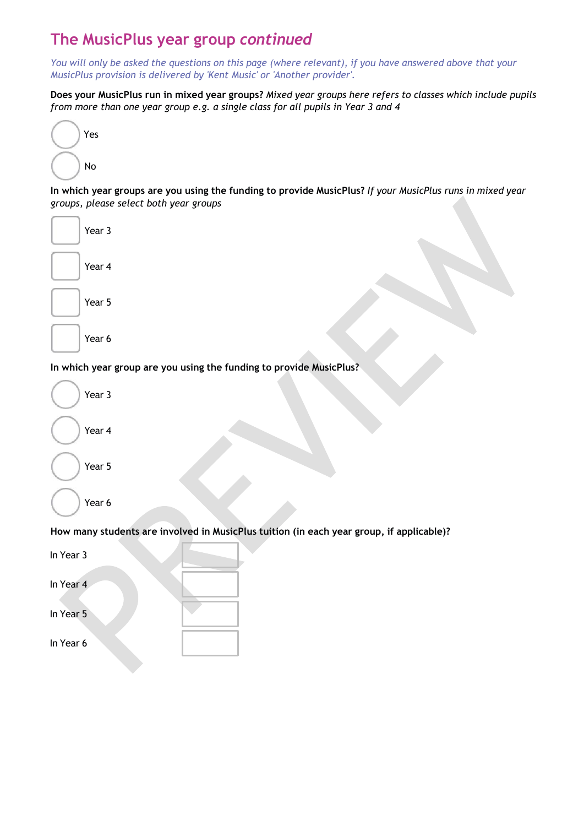## **The MusicPlus year group** *continued*

You will only be asked the questions on this page (where relevant), if you have answered above that your *MusicPlus provision is delivered by 'Kent Music' or 'Another provider'.*

Does your MusicPlus run in mixed year groups? Mixed year groups here refers to classes which include pupils *from more than one year group e.g. a single class for all pupils in Year 3 and 4*



In which year groups are you using the funding to provide MusicPlus? If your MusicPlus runs in mixed year *groups, please select both year groups*

| Year 3                                                                                   |
|------------------------------------------------------------------------------------------|
| Year 4                                                                                   |
| Year 5                                                                                   |
| Year 6                                                                                   |
| In which year group are you using the funding to provide MusicPlus?                      |
| Year 3                                                                                   |
| Year 4                                                                                   |
| Year 5                                                                                   |
| Year 6                                                                                   |
| How many students are involved in MusicPlus tuition (in each year group, if applicable)? |
| In Year 3                                                                                |
| In Year 4                                                                                |
| In Year 5                                                                                |
| In Year 6                                                                                |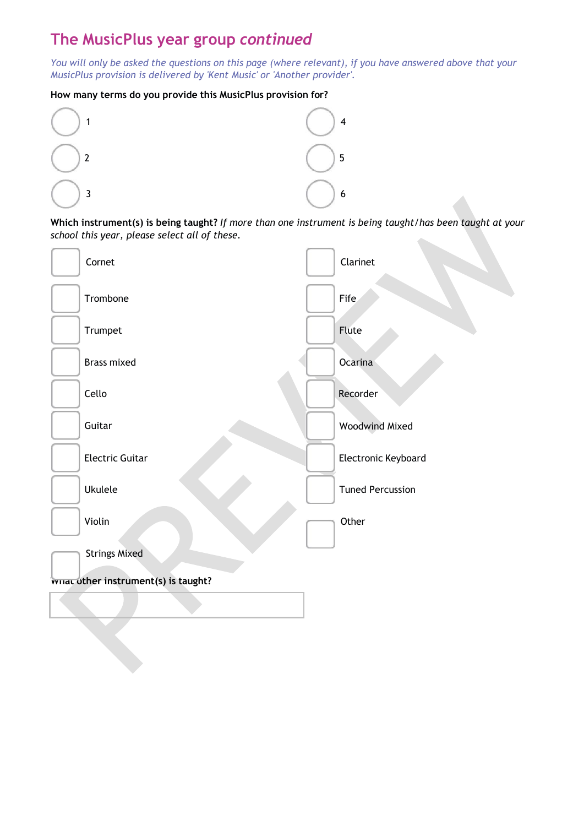# **The MusicPlus year group** *continued*

You will only be asked the questions on this page (where relevant), if you have answered above that your *MusicPlus provision is delivered by 'Kent Music' or 'Another provider'.*

#### **How many terms do you provide this MusicPlus provision for?**



**Which instrument(s) is being taught?** *If more than one instrument is being taught/has been taught at your school this year, please select all of these.*  $\bullet$ 

| Cornet                 |                                     | Clarinet                |
|------------------------|-------------------------------------|-------------------------|
| Trombone               |                                     | Fife                    |
| Trumpet                |                                     | Flute                   |
| <b>Brass mixed</b>     |                                     | Ocarina <sup>®</sup>    |
| Cello                  |                                     | Recorder                |
| Guitar                 |                                     | <b>Woodwind Mixed</b>   |
| <b>Electric Guitar</b> |                                     | Electronic Keyboard     |
| Ukulele                |                                     | <b>Tuned Percussion</b> |
| Violin                 |                                     | Other                   |
| <b>Strings Mixed</b>   |                                     |                         |
|                        | wnat other instrument(s) is taught? |                         |
|                        |                                     |                         |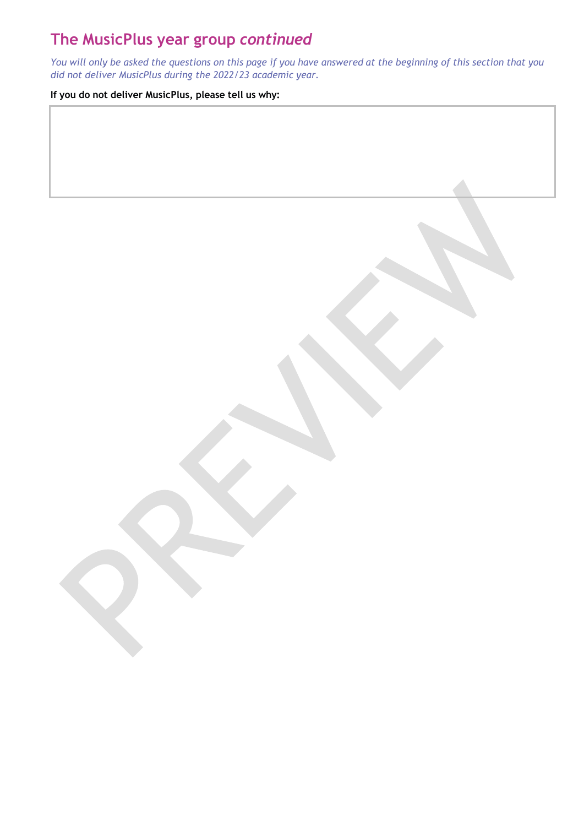## **The MusicPlus year group** *continued*

You will only be asked the questions on this page if you have answered at the beginning of this section that you *did not deliver MusicPlus during the 2022/23 academic year.*

**If you do not deliver MusicPlus, please tell us why:**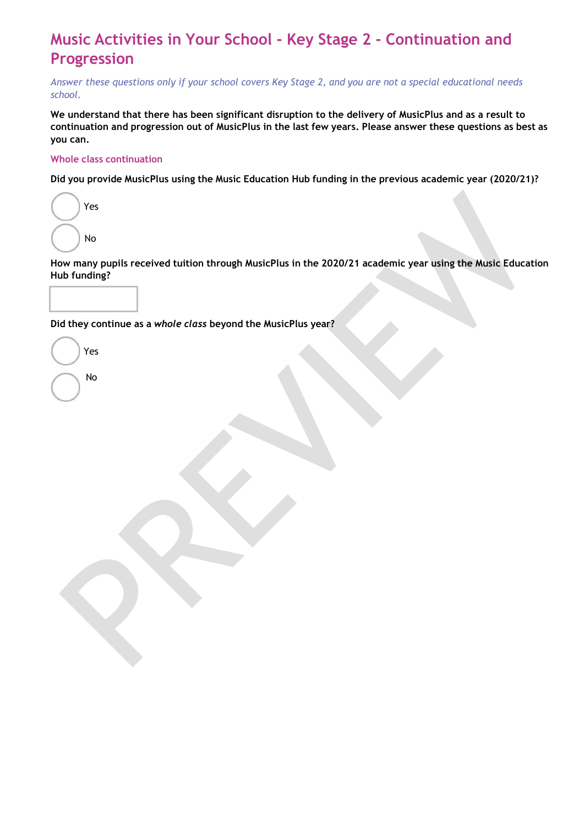### **Music Activities in Your School - Key Stage 2 - Continuation and Progression**

Answer these questions only if your school covers Key Stage 2, and you are not a special educational needs *school.*

**We understand that there has been significant disruption to the delivery of MusicPlus and as a result to**  continuation and progression out of MusicPlus in the last few years. Please answer these questions as best as **you can.**

#### **Whole class continuation**

**Did you provide MusicPlus using the Music Education Hub funding in the previous academic year (2020/21)?**



**How many pupils received tuition through MusicPlus in the 2020/21 academic year using the Music Education Hub funding?**

**Did they continue as a** *whole class* **beyond the MusicPlus year?**

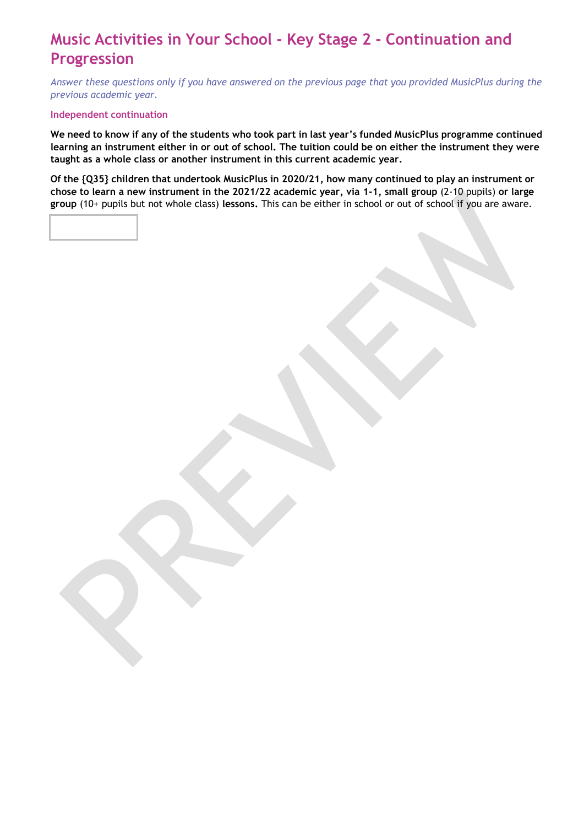## **Music Activities in Your School - Key Stage 2 - Continuation and Progression**

Answer these questions only if you have answered on the previous page that you provided MusicPlus during the *previous academic year.*

### **Independent continuation**

We need to know if any of the students who took part in last year's funded MusicPlus programme continued **learning an instrument either in or out of school. The tuition could be on either the instrument they were taught as a whole class or another instrument in this current academic year.**

**Of the {Q35} children that undertook MusicPlus in 2020/21, how many continued to play an instrument or chose to learn a new instrument in the 2021/22 academic year, via 1-1, small group** (2-10 pupils) **or large group** (10+ pupils but not whole class) **lessons.** This can be either in school or out of school if you are aware.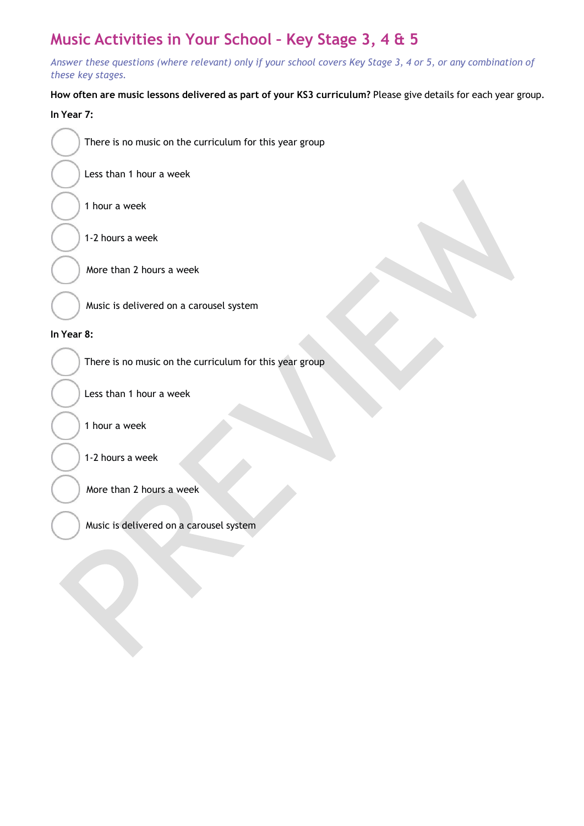## **Music Activities in Your School – Key Stage 3, 4 & 5**

Answer these questions (where relevant) only if your school covers Key Stage 3, 4 or 5, or any combination of *these key stages.*

**How often are music lessons delivered as part of your KS3 curriculum?** Please give details for each year group.

**In Year 7:**

There is no music on the curriculum for this year group

Less than 1 hour a week

1 hour a week

1-2 hours a week

More than 2 hours a week

Music is delivered on a carousel system

### **In Year 8:**

There is no music on the curriculum for this year group

Less than 1 hour a week

1 hour a week

1-2 hours a week

More than 2 hours a week

Music is delivered on a carousel system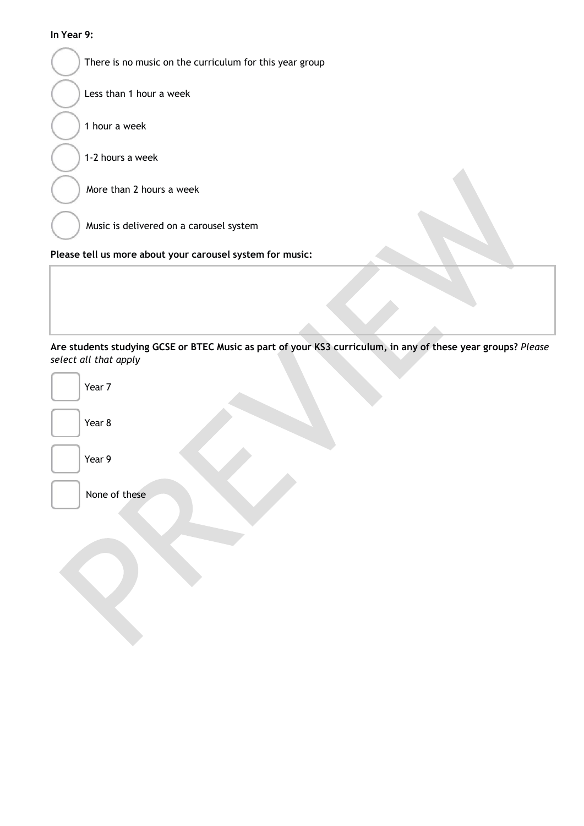#### **In Year 9:**

There is no music on the curriculum for this year group Less than 1 hour a week 1 hour a week 1-2 hours a week More than 2 hours a week Music is delivered on a carousel system **Please tell us more about your carousel system for music:**

Are students studying GCSE or BTEC Music as part of your KS3 curriculum, in any of these year groups? Please *select all that apply*

| Year 7        |
|---------------|
| Year 8        |
| Year 9        |
| None of these |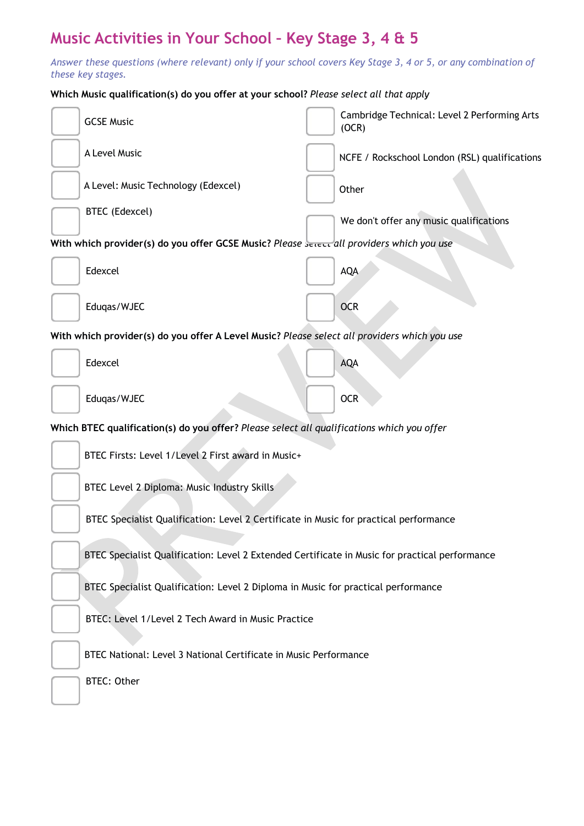## **Music Activities in Your School – Key Stage 3, 4 & 5**

Answer these questions (where relevant) only if your school covers Key Stage 3, 4 or 5, or any combination of *these key stages.*

**Which Music qualification(s) do you offer at your school?** *Please select all that apply*

| <b>GCSE Music</b>                                                                              |  | Cambridge Technical: Level 2 Performing Arts<br>(OCR) |  |  |  |
|------------------------------------------------------------------------------------------------|--|-------------------------------------------------------|--|--|--|
| A Level Music                                                                                  |  | NCFE / Rockschool London (RSL) qualifications         |  |  |  |
| A Level: Music Technology (Edexcel)                                                            |  | Other                                                 |  |  |  |
| <b>BTEC</b> (Edexcel)                                                                          |  | We don't offer any music qualifications               |  |  |  |
| With which provider(s) do you offer GCSE Music? Please serect all providers which you use      |  |                                                       |  |  |  |
| Edexcel                                                                                        |  | <b>AQA</b>                                            |  |  |  |
| Eduqas/WJEC                                                                                    |  | <b>OCR</b>                                            |  |  |  |
| With which provider(s) do you offer A Level Music? Please select all providers which you use   |  |                                                       |  |  |  |
| Edexcel                                                                                        |  | <b>AQA</b>                                            |  |  |  |
| Eduqas/WJEC                                                                                    |  | <b>OCR</b>                                            |  |  |  |
| Which BTEC qualification(s) do you offer? Please select all qualifications which you offer     |  |                                                       |  |  |  |
| BTEC Firsts: Level 1/Level 2 First award in Music+                                             |  |                                                       |  |  |  |
| BTEC Level 2 Diploma: Music Industry Skills                                                    |  |                                                       |  |  |  |
| BTEC Specialist Qualification: Level 2 Certificate in Music for practical performance          |  |                                                       |  |  |  |
| BTEC Specialist Qualification: Level 2 Extended Certificate in Music for practical performance |  |                                                       |  |  |  |
| BTEC Specialist Qualification: Level 2 Diploma in Music for practical performance              |  |                                                       |  |  |  |
| BTEC: Level 1/Level 2 Tech Award in Music Practice                                             |  |                                                       |  |  |  |
| BTEC National: Level 3 National Certificate in Music Performance                               |  |                                                       |  |  |  |
| <b>BTEC: Other</b>                                                                             |  |                                                       |  |  |  |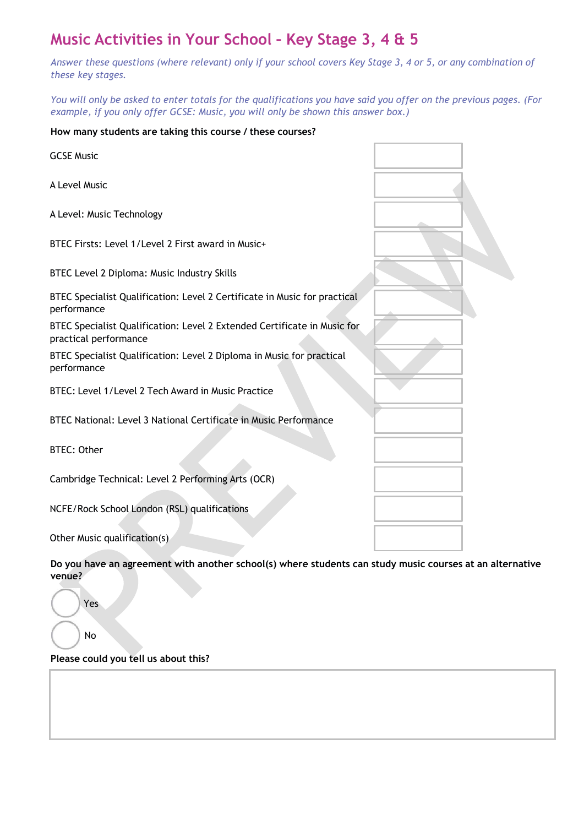## **Music Activities in Your School – Key Stage 3, 4 & 5**

Answer these questions (where relevant) only if your school covers Key Stage 3, 4 or 5, or any combination of *these key stages.*

You will only be asked to enter totals for the qualifications you have said you offer on the previous pages. (For *example, if you only offer GCSE: Music, you will only be shown this answer box.)*

**How many students are taking this course / these courses?**

| <b>GCSE Music</b>                                                                                 |  |
|---------------------------------------------------------------------------------------------------|--|
| A Level Music                                                                                     |  |
| A Level: Music Technology                                                                         |  |
| BTEC Firsts: Level 1/Level 2 First award in Music+                                                |  |
| BTEC Level 2 Diploma: Music Industry Skills                                                       |  |
| BTEC Specialist Qualification: Level 2 Certificate in Music for practical<br>performance          |  |
| BTEC Specialist Qualification: Level 2 Extended Certificate in Music for<br>practical performance |  |
| BTEC Specialist Qualification: Level 2 Diploma in Music for practical<br>performance              |  |
| BTEC: Level 1/Level 2 Tech Award in Music Practice                                                |  |
| BTEC National: Level 3 National Certificate in Music Performance                                  |  |
| <b>BTEC: Other</b>                                                                                |  |
| Cambridge Technical: Level 2 Performing Arts (OCR)                                                |  |
| NCFE/Rock School London (RSL) qualifications                                                      |  |
| Other Music qualification(s)                                                                      |  |

**Do you have an agreement with another school(s) where students can study music courses at an alternative venue?**

Yes

No

**Please could you tell us about this?**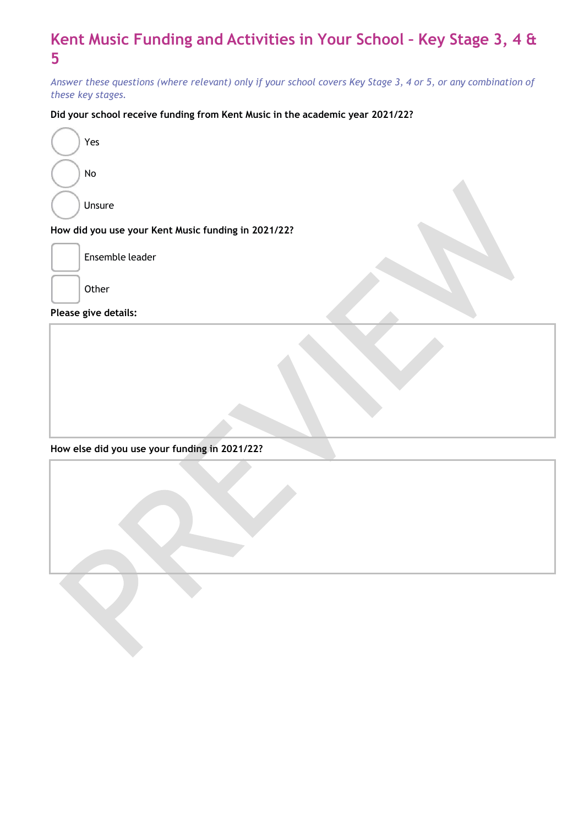## **Kent Music Funding and Activities in Your School – Key Stage 3, 4 & 5**

Answer these questions (where relevant) only if your school covers Key Stage 3, 4 or 5, or any combination of *these key stages.*

### **Did your school receive funding from Kent Music in the academic year 2021/22?**



Ensemble leader

**Other** 

**Please give details:**

**How else did you use your funding in 2021/22?**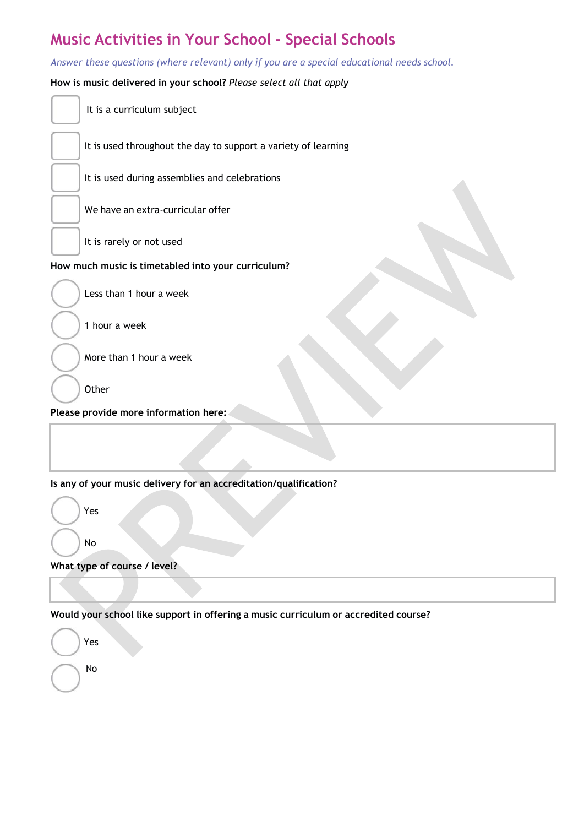## **Music Activities in Your School - Special Schools**

*Answer these questions (where relevant) only if you are a special educational needs school.*

**How is music delivered in your school?** *Please select all that apply*

| It is a curriculum subject                                     |
|----------------------------------------------------------------|
| It is used throughout the day to support a variety of learning |
| It is used during assemblies and celebrations                  |
| We have an extra-curricular offer                              |
| It is rarely or not used                                       |
| How much music is timetabled into your curriculum?             |
| Less than 1 hour a week                                        |
| 1 hour a week                                                  |
| More than 1 hour a week                                        |
| Other                                                          |
| Please provide more information here:                          |
|                                                                |

**Is any of your music delivery for an accreditation/qualification?**



**What type of course / level?**

**Would your school like support in offering a music curriculum or accredited course?**

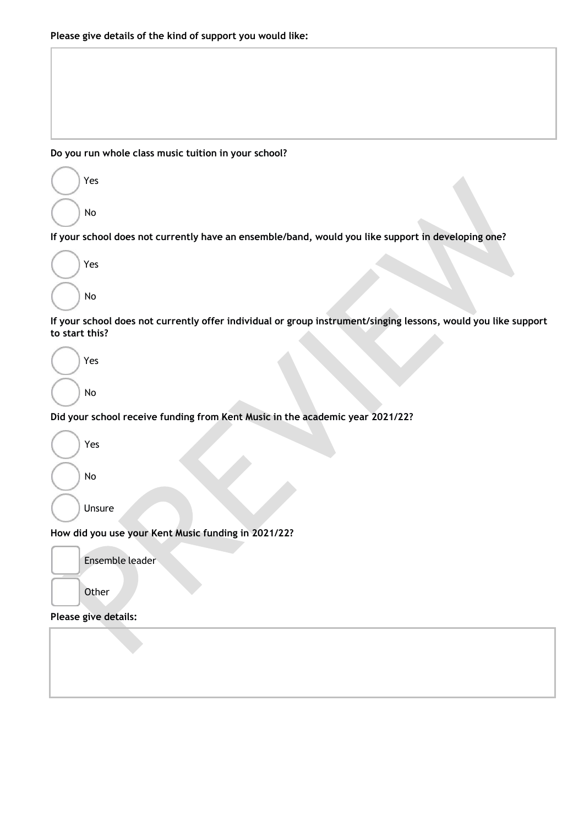### **Do you run whole class music tuition in your school?**



**If your school does not currently have an ensemble/band, would you like support in developing one?**



**If your school does not currently offer individual or group instrument/singing lessons, would you like support to start this?**



**Did your school receive funding from Kent Music in the academic year 2021/22?**



**How did you use your Kent Music funding in 2021/22?**



Ensemble leader

**Please give details:**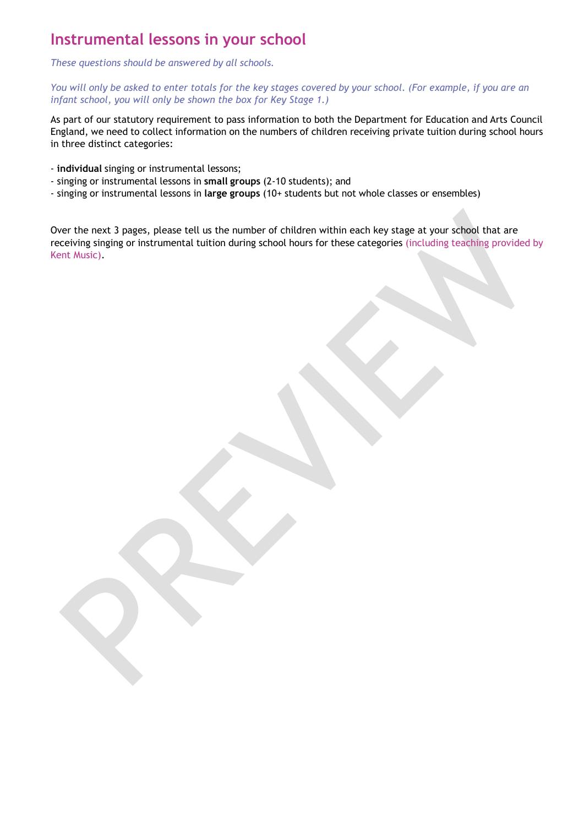## **Instrumental lessons in your school**

*These questions should be answered by all schools.*

You will only be asked to enter totals for the key stages covered by your school. (For example, if you are an *infant school, you will only be shown the box for Key Stage 1.)*

As part of our statutory requirement to pass information to both the Department for Education and Arts Council England, we need to collect information on the numbers of children receiving private tuition during school hours in three distinct categories:

- **individual** singing or instrumental lessons;
- singing or instrumental lessons in **small groups** (2-10 students); and
- singing or instrumental lessons in **large groups** (10+ students but not whole classes or ensembles)

Over the next 3 pages, please tell us the number of children within each key stage at your school that are receiving singing or instrumental tuition during school hours for these categories (including teaching provided by Kent Music).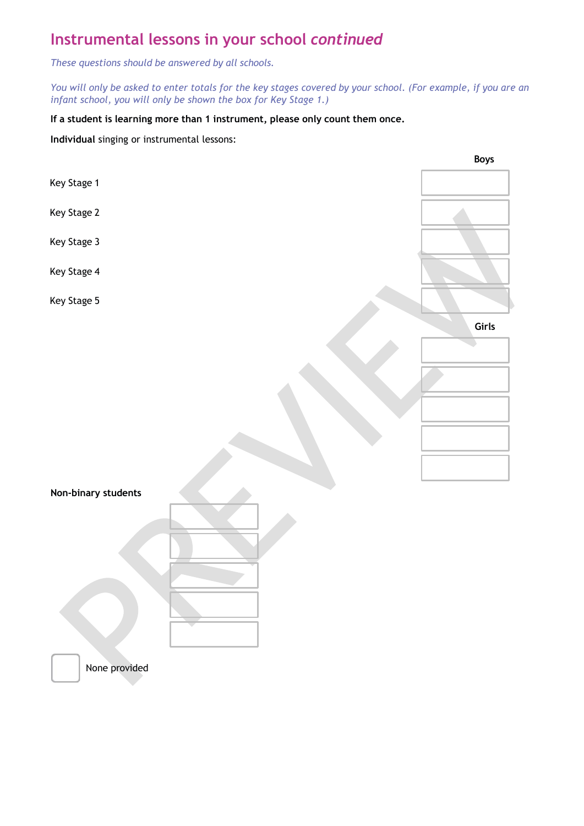*These questions should be answered by all schools.*

You will only be asked to enter totals for the key stages covered by your school. (For example, if you are an *infant school, you will only be shown the box for Key Stage 1.)*

### **If a student is learning more than 1 instrument, please only count them once.**

**Individual** singing or instrumental lessons:

|                     | Boys  |
|---------------------|-------|
| Key Stage 1         |       |
| Key Stage 2         |       |
| Key Stage 3         |       |
| Key Stage 4         |       |
| Key Stage 5         |       |
|                     | Girls |
|                     |       |
|                     |       |
|                     |       |
|                     |       |
|                     |       |
|                     |       |
|                     |       |
|                     |       |
| Non-binary students |       |
|                     |       |
|                     |       |
|                     |       |
|                     |       |
|                     |       |
|                     |       |
|                     |       |
|                     |       |
| None provided       |       |
|                     |       |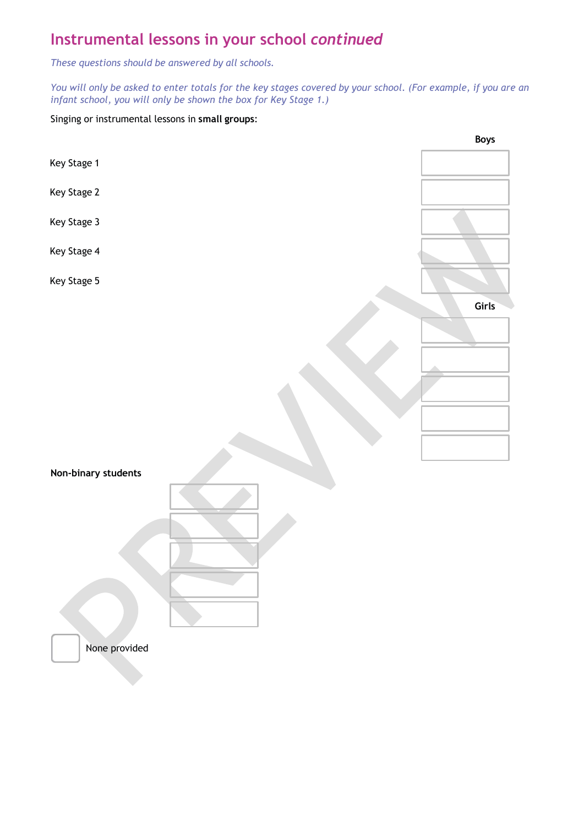*These questions should be answered by all schools.*

You will only be asked to enter totals for the key stages covered by your school. (For example, if you are an *infant school, you will only be shown the box for Key Stage 1.)*

### Singing or instrumental lessons in **small groups**:

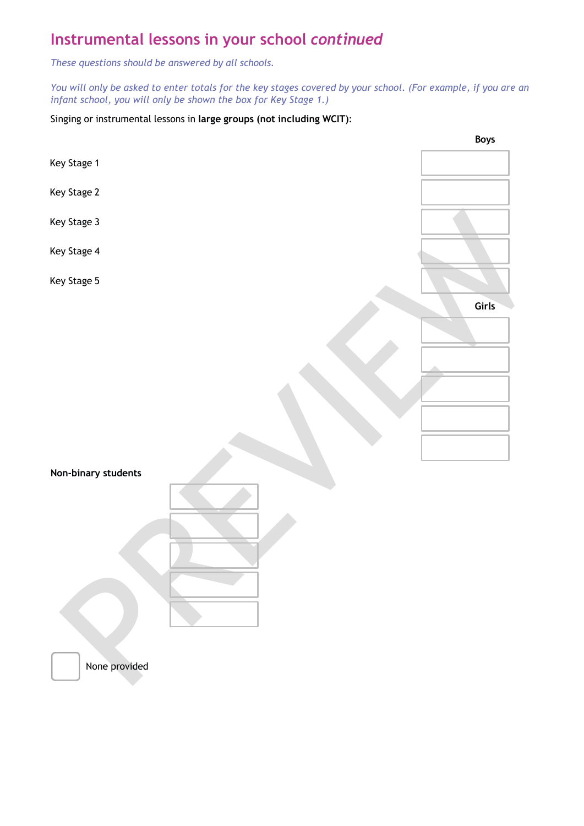*These questions should be answered by all schools.*

You will only be asked to enter totals for the key stages covered by your school. (For example, if you are an *infant school, you will only be shown the box for Key Stage 1.)*

Singing or instrumental lessons in **large groups (not including WCIT)**:

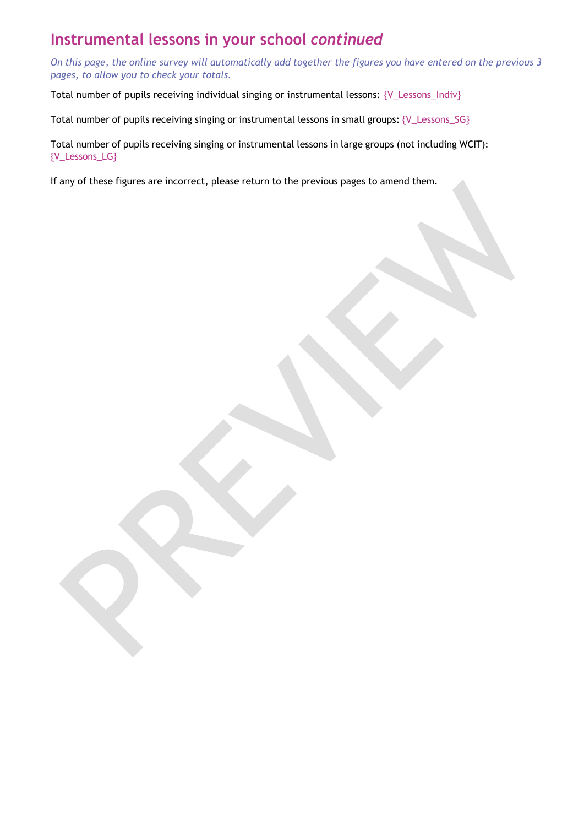On this page, the online survey will automatically add together the figures you have entered on the previous 3 *pages, to allow you to check your totals.*

Total number of pupils receiving individual singing or instrumental lessons: {V\_Lessons\_Indiv}

Total number of pupils receiving singing or instrumental lessons in small groups: {V\_Lessons\_SG}

Total number of pupils receiving singing or instrumental lessons in large groups (not including WCIT): {V\_Lessons\_LG}

If any of these figures are incorrect, please return to the previous pages to amend them.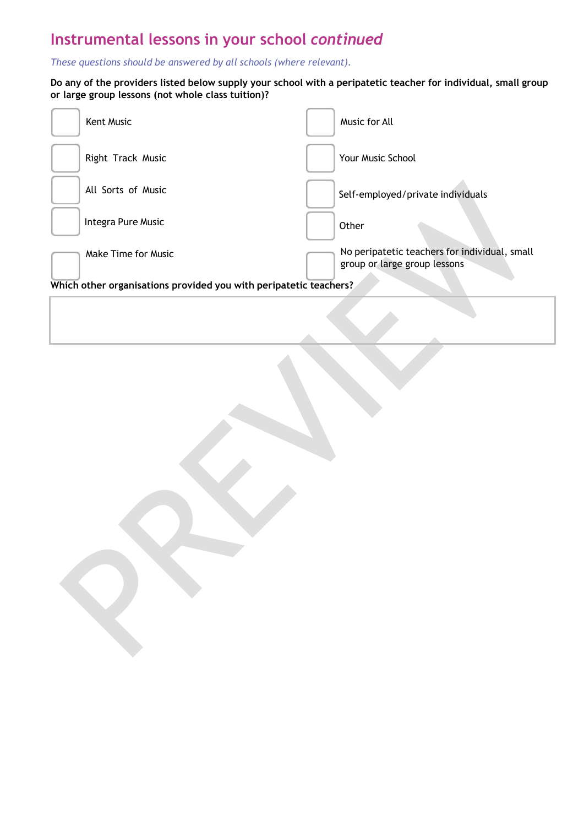### *These questions should be answered by all schools (where relevant).*

Do any of the providers listed below supply your school with a peripatetic teacher for individual, small group **or large group lessons (not whole class tuition)?**

| Kent Music                                                        | Music for All                                                                 |  |  |  |
|-------------------------------------------------------------------|-------------------------------------------------------------------------------|--|--|--|
| Right Track Music                                                 | <b>Your Music School</b>                                                      |  |  |  |
| All Sorts of Music                                                | Self-employed/private individuals                                             |  |  |  |
| Integra Pure Music                                                | Other                                                                         |  |  |  |
| Make Time for Music                                               | No peripatetic teachers for individual, small<br>group or large group lessons |  |  |  |
| Which other organisations provided you with peripatetic teachers? |                                                                               |  |  |  |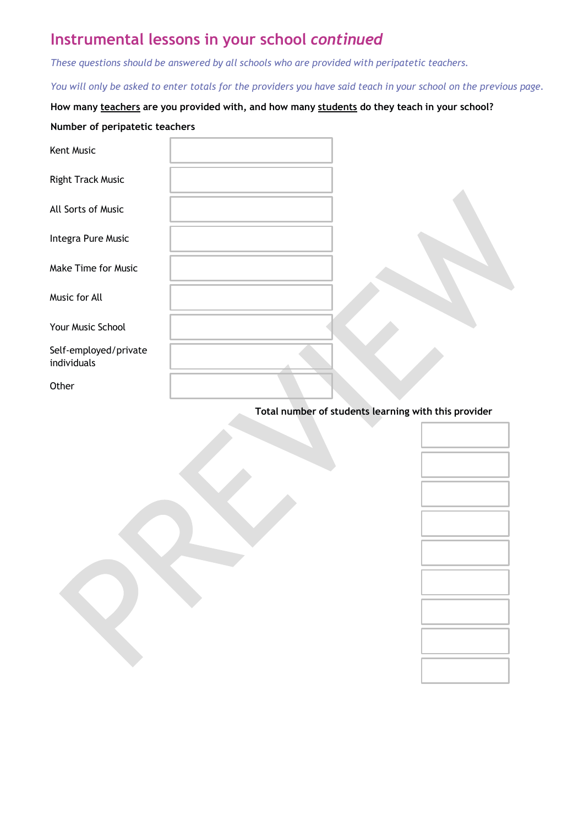*These questions should be answered by all schools who are provided with peripatetic teachers.*

You will only be asked to enter totals for the providers you have said teach in your school on the previous page.

**How many teachers are you provided with, and how many students do they teach in your school? Number of peripatetic teachers**

| Kent Music                           |  |
|--------------------------------------|--|
| <b>Right Track Music</b>             |  |
| All Sorts of Music                   |  |
| Integra Pure Music                   |  |
| <b>Make Time for Music</b>           |  |
| Music for All                        |  |
| Your Music School                    |  |
| Self-employed/private<br>individuals |  |
| Other                                |  |

### **Total number of students learning with this provider**

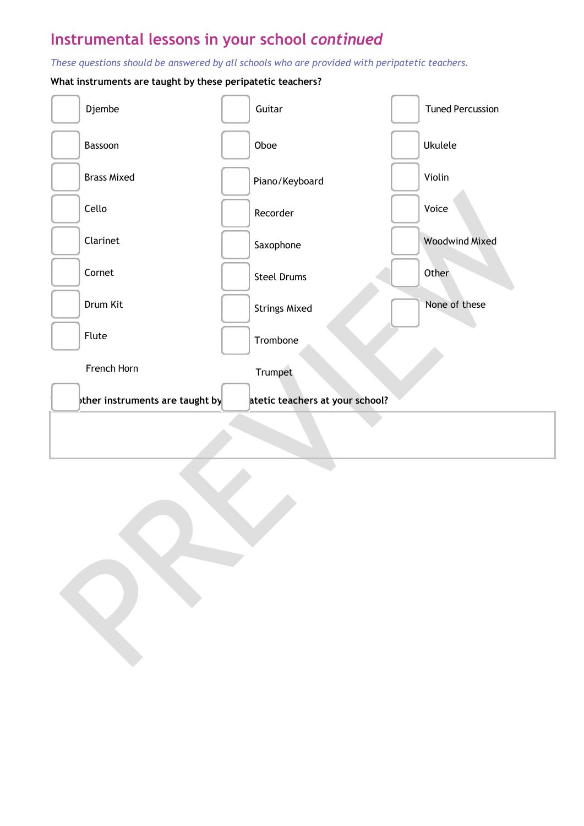*These questions should be answered by all schools who are provided with peripatetic teachers.*

### **What instruments are taught by these peripatetic teachers?**



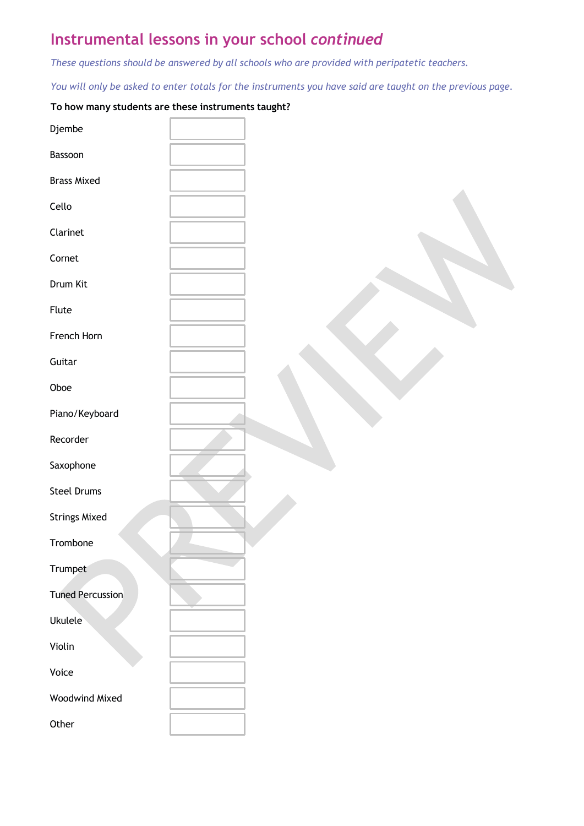*These questions should be answered by all schools who are provided with peripatetic teachers.*

You will only be asked to enter totals for the instruments you have said are taught on the previous page.

# **To how many students are these instruments taught?** Djembe Bassoon Brass Mixed Cello Clarinet Cornet Drum Kit Flute French Horn Guitar Oboe Piano/Keyboard Recorder Saxophone Steel Drums Strings Mixed Trombone Trumpet Tuned Percussion Ukulele Violin Voice Woodwind Mixed **Other**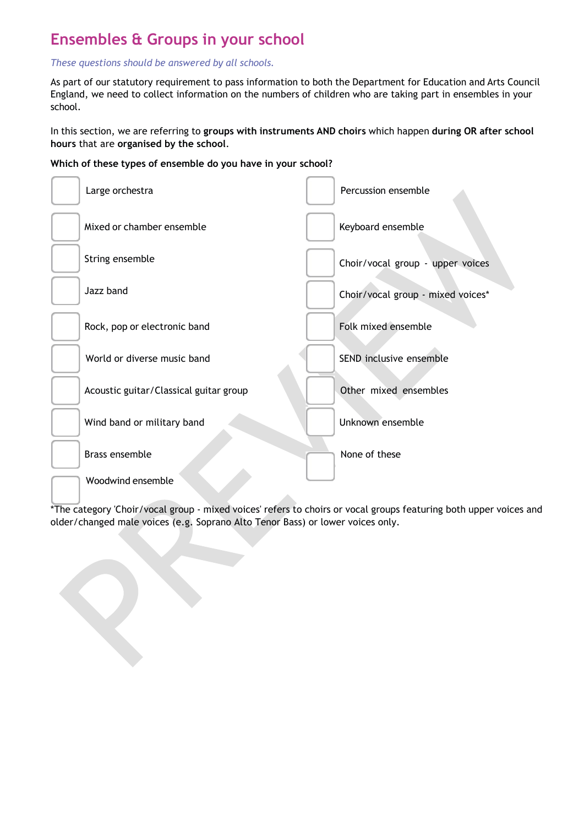## **Ensembles & Groups in your school**

### *These questions should be answered by all schools.*

As part of our statutory requirement to pass information to both the Department for Education and Arts Council England, we need to collect information on the numbers of children who are taking part in ensembles in your school.

In this section, we are referring to **groups with instruments AND choirs** which happen **during OR after school hours** that are **organised by the school**.

### **Which of these types of ensemble do you have in your school?**

| Large orchestra                        | Percussion ensemble               |
|----------------------------------------|-----------------------------------|
| Mixed or chamber ensemble              | Keyboard ensemble                 |
| String ensemble                        | Choir/vocal group - upper voices  |
| Jazz band                              | Choir/vocal group - mixed voices* |
| Rock, pop or electronic band           | Folk mixed ensemble               |
| World or diverse music band            | SEND inclusive ensemble           |
| Acoustic guitar/Classical guitar group | Other mixed ensembles             |
| Wind band or military band             | Unknown ensemble                  |
| Brass ensemble                         | None of these                     |
| Woodwind ensemble                      |                                   |

\*The category 'Choir/vocal group - mixed voices' refers to choirs or vocal groups featuring both upper voices and older/changed male voices (e.g. Soprano Alto Tenor Bass) or lower voices only.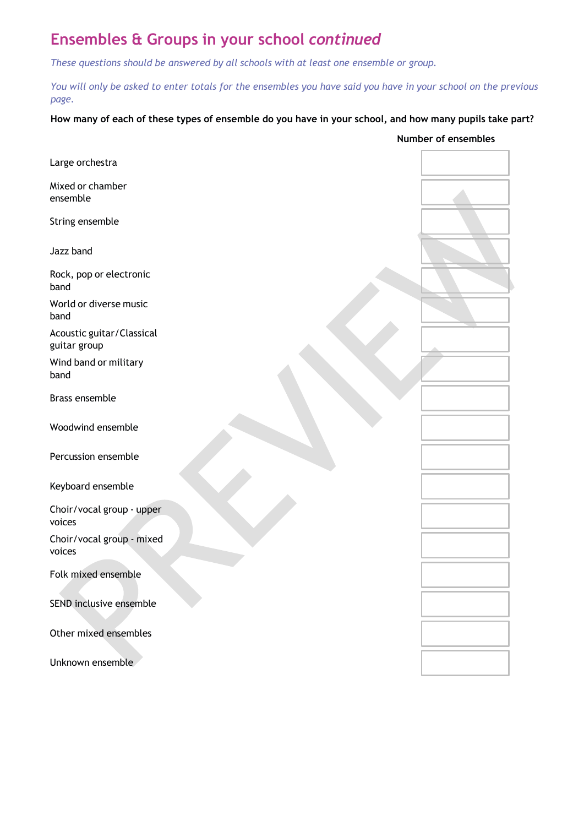*These questions should be answered by all schools with at least one ensemble or group.*

You will only be asked to enter totals for the ensembles you have said you have in your school on the previous *page.*

### How many of each of these types of ensemble do you have in your school, and how many pupils take part?

|                                           | <b>Number of ensembles</b> |
|-------------------------------------------|----------------------------|
| Large orchestra                           |                            |
| Mixed or chamber<br>ensemble              |                            |
| String ensemble                           |                            |
| Jazz band                                 |                            |
| Rock, pop or electronic<br>band           |                            |
| World or diverse music<br>band            |                            |
| Acoustic guitar/Classical<br>guitar group |                            |
| Wind band or military<br>band             |                            |
| Brass ensemble                            |                            |
| Woodwind ensemble                         |                            |
| Percussion ensemble                       |                            |
| Keyboard ensemble                         |                            |
| Choir/vocal group - upper<br>voices       |                            |
| Choir/vocal group - mixed<br>voices       |                            |
| Folk mixed ensemble                       |                            |
| SEND inclusive ensemble                   |                            |
| Other mixed ensembles                     |                            |
| Unknown ensemble                          |                            |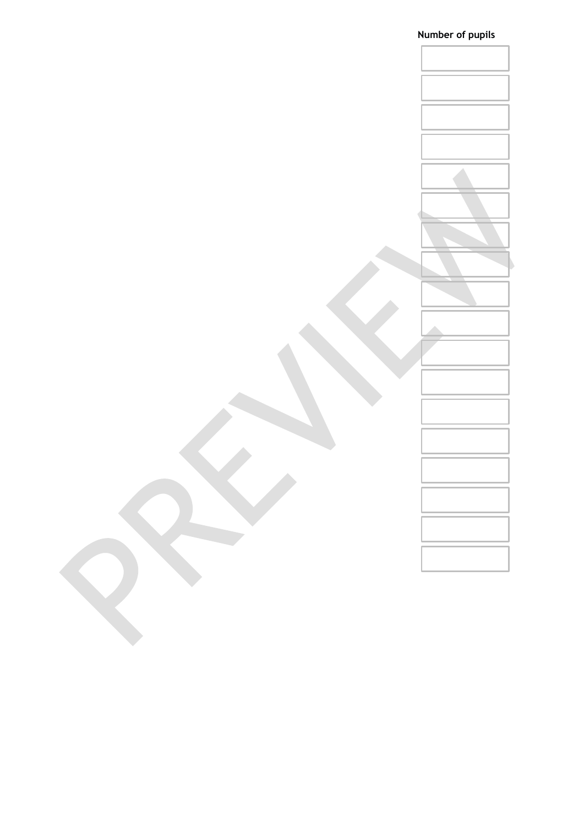**Number of pupils**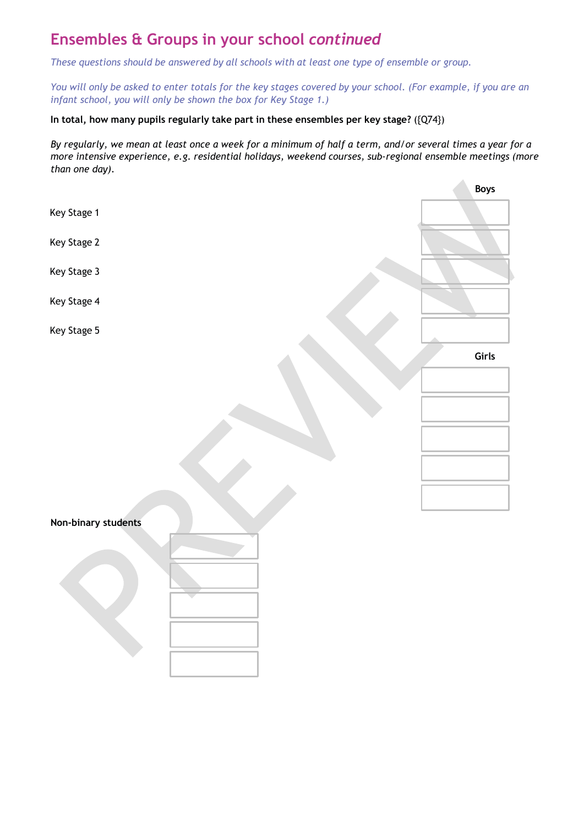*These questions should be answered by all schools with at least one type of ensemble or group.*

You will only be asked to enter totals for the key stages covered by your school. (For example, if you are an *infant school, you will only be shown the box for Key Stage 1.)*

### **In total, how many pupils regularly take part in these ensembles per key stage?** ({Q74})

*By regularly, we mean at least once a week for a minimum of half a term, and/or several times a year for a more intensive experience, e.g. residential holidays, weekend courses, sub-regional ensemble meetings (more than one day).*

|                     | Boys  |
|---------------------|-------|
| Key Stage 1         |       |
| Key Stage 2         |       |
| Key Stage 3         |       |
| Key Stage 4         |       |
| Key Stage 5         |       |
|                     | Girls |
|                     |       |
|                     |       |
|                     |       |
|                     |       |
|                     |       |
|                     |       |
| Non-binary students |       |
|                     |       |
|                     |       |
|                     |       |
|                     |       |
|                     |       |
|                     |       |
|                     |       |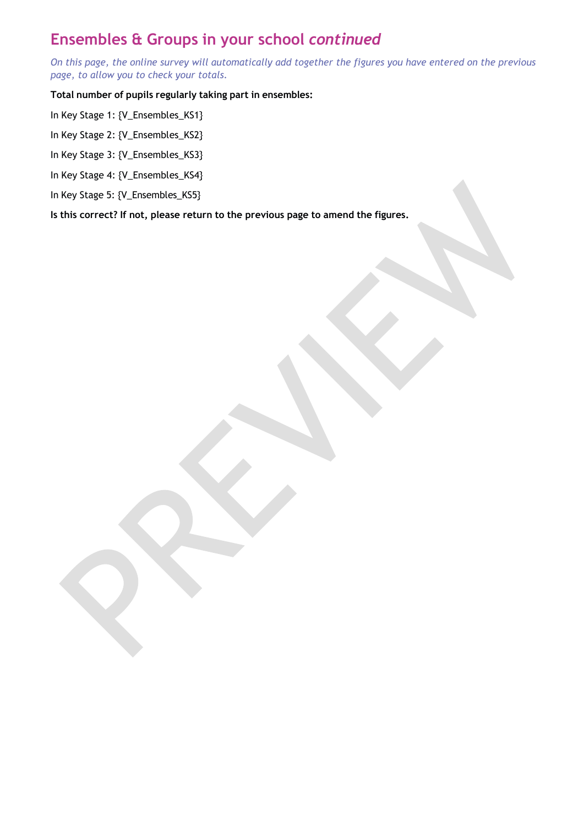On this page, the online survey will automatically add together the figures you have entered on the previous *page, to allow you to check your totals.*

**Total number of pupils regularly taking part in ensembles:**

In Key Stage 1: {V\_Ensembles\_KS1}

In Key Stage 2: {V\_Ensembles\_KS2}

In Key Stage 3: {V\_Ensembles\_KS3}

In Key Stage 4: {V\_Ensembles\_KS4}

In Key Stage 5: {V\_Ensembles\_KS5}

**Is this correct? If not, please return to the previous page to amend the figures.**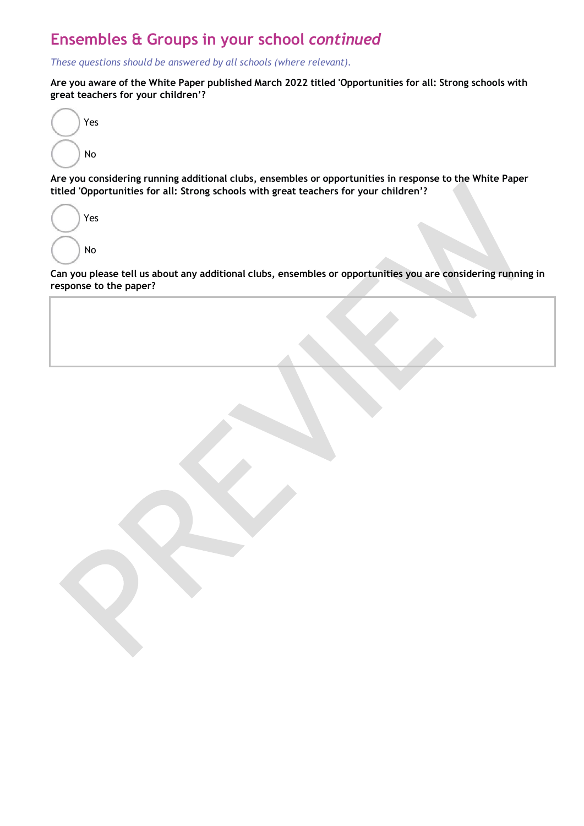*These questions should be answered by all schools (where relevant).*

**Are you aware of the White Paper published March 2022 titled 'Opportunities for all: Strong schools with great teachers for your children'?**



**Are you considering running additional clubs, ensembles or opportunities in response to the White Paper titled 'Opportunities for all: Strong schools with great teachers for your children'?**



Can you please tell us about any additional clubs, ensembles or opportunities you are considering running in **response to the paper?**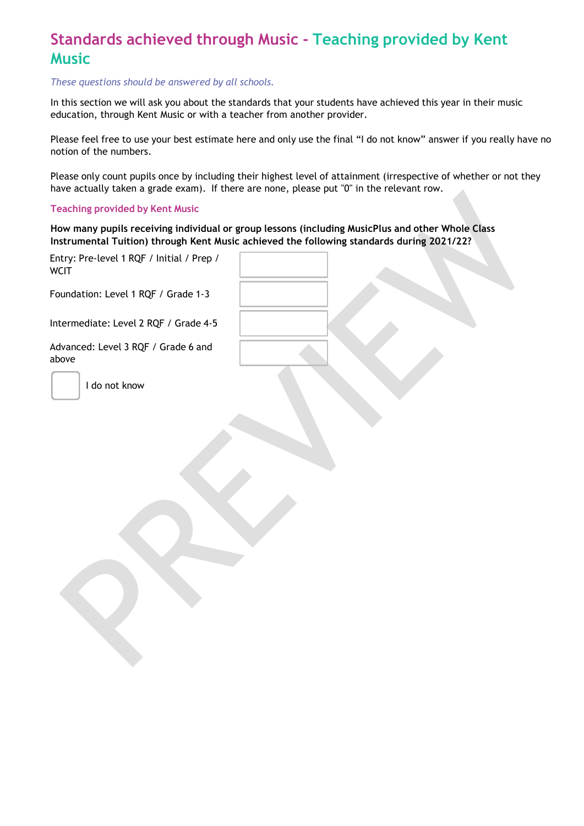## **Standards achieved through Music - Teaching provided by Kent Music**

### *These questions should be answered by all schools.*

In this section we will ask you about the standards that your students have achieved this year in their music education, through Kent Music or with a teacher from another provider.

Please feel free to use your best estimate here and only use the final "I do not know" answer if you really have no notion of the numbers.

Please only count pupils once by including their highest level of attainment (irrespective of whether or not they have actually taken a grade exam). If there are none, please put "0" in the relevant row.

### **Teaching provided by Kent Music**

**How many pupils receiving individual or group lessons (including MusicPlus and other Whole Class Instrumental Tuition) through Kent Music achieved the following standards during 2021/22?**

| Entry: Pre-level 1 RQF / Initial / Prep /<br><b>WCIT</b> |  |
|----------------------------------------------------------|--|
| Foundation: Level 1 RQF / Grade 1-3                      |  |
| Intermediate: Level 2 RQF / Grade 4-5                    |  |
| Advanced: Level 3 RQF / Grade 6 and<br>above             |  |
| I do not know                                            |  |
|                                                          |  |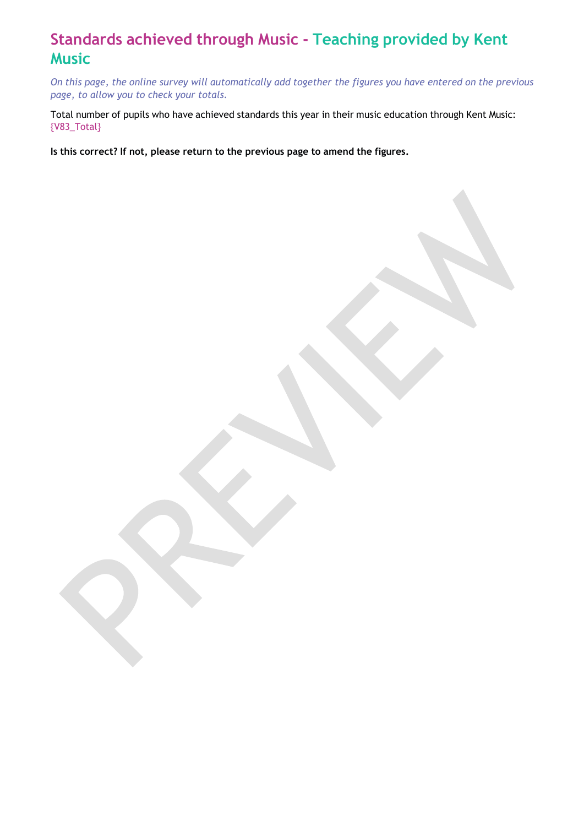## **Standards achieved through Music - Teaching provided by Kent Music**

On this page, the online survey will automatically add together the figures you have entered on the previous *page, to allow you to check your totals.*

Total number of pupils who have achieved standards this year in their music education through Kent Music: {V83\_Total}

**Is this correct? If not, please return to the previous page to amend the figures.**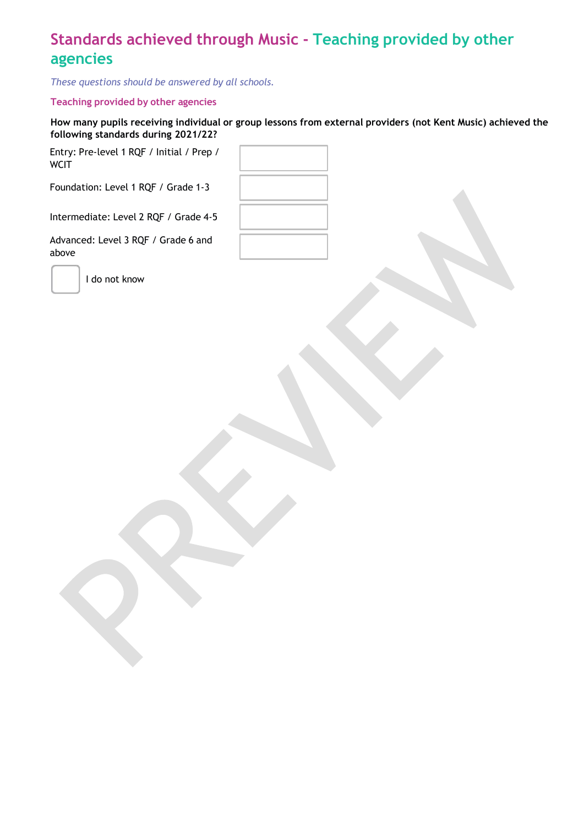## **Standards achieved through Music - Teaching provided by other agencies**

*These questions should be answered by all schools.*

### **Teaching provided by other agencies**

**How many pupils receiving individual or group lessons from external providers (not Kent Music) achieved the following standards during 2021/22?**

Entry: Pre-level 1 RQF / Initial / Prep / **WCIT** 

Foundation: Level 1 RQF / Grade 1-3

Intermediate: Level 2 RQF / Grade 4-5

Advanced: Level 3 RQF / Grade 6 and above



I do not know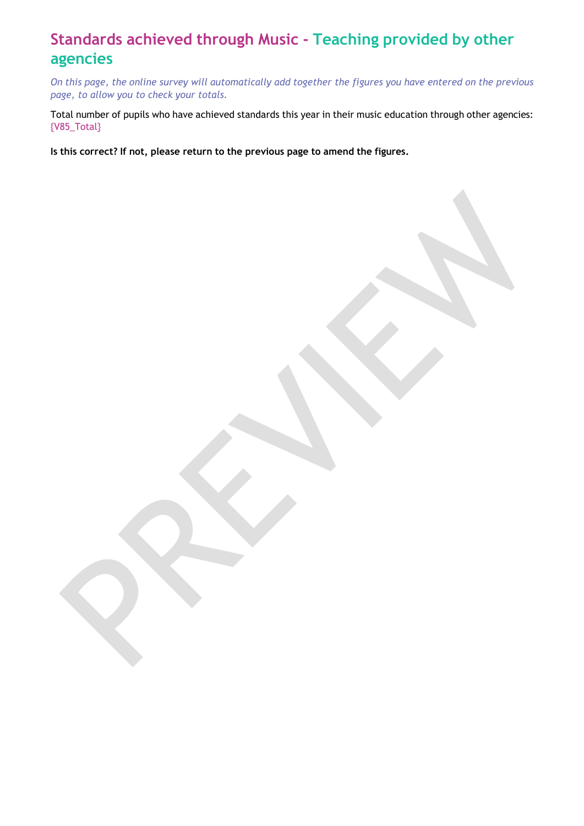## **Standards achieved through Music - Teaching provided by other agencies**

On this page, the online survey will automatically add together the figures you have entered on the previous *page, to allow you to check your totals.*

Total number of pupils who have achieved standards this year in their music education through other agencies: {V85\_Total}

**Is this correct? If not, please return to the previous page to amend the figures.**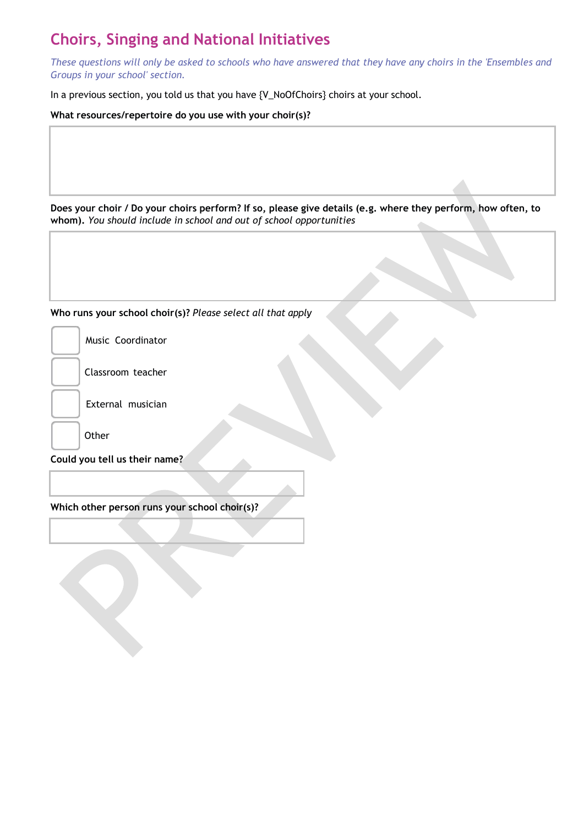## **Choirs, Singing and National Initiatives**

These questions will only be asked to schools who have answered that they have any choirs in the 'Ensembles and *Groups in your school' section.*

In a previous section, you told us that you have {V\_NoOfChoirs} choirs at your school.

**What resources/repertoire do you use with your choir(s)?**

Does your choir / Do your choirs perform? If so, please give details (e.g. where they perform, how often, to **whom).** *You should include in school and out of school opportunities*

**Who runs your school choir(s)?** *Please select all that apply*

Music Coordinator

Classroom teacher

External musician

**Other** 

**Could you tell us their name?**

**Which other person runs your school choir(s)?**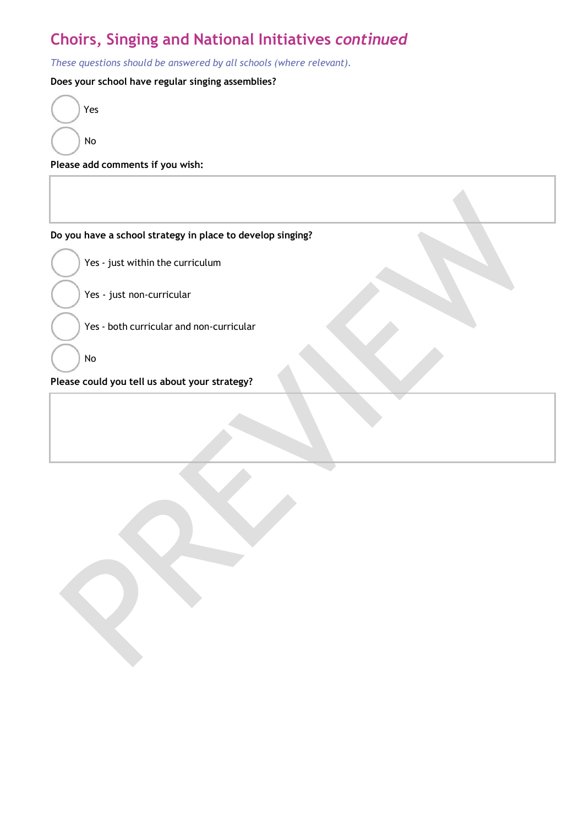## **Choirs, Singing and National Initiatives** *continued*

*These questions should be answered by all schools (where relevant).*

### **Does your school have regular singing assemblies?**



**Please add comments if you wish:**

### **Do you have a school strategy in place to develop singing?**

Yes - just within the curriculum

Yes - just non-curricular

Yes - both curricular and non-curricular

No

**Please could you tell us about your strategy?**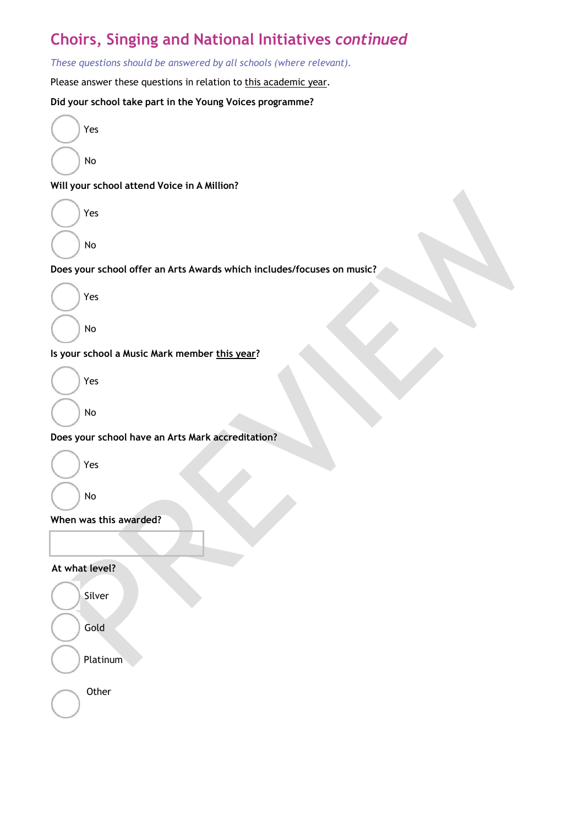## **Choirs, Singing and National Initiatives** *continued*

*These questions should be answered by all schools (where relevant).*

Please answer these questions in relation to this academic year.

**Did your school take part in the Young Voices programme?**



**Will your school attend Voice in A Million?**



**Does your school offer an Arts Awards which includes/focuses on music?**



### **Is your school a Music Mark member this year?**



**Does your school have an Arts Mark accreditation?**



**When was this awarded?**

### **At what level?**

Silver Gold Platinum **Other**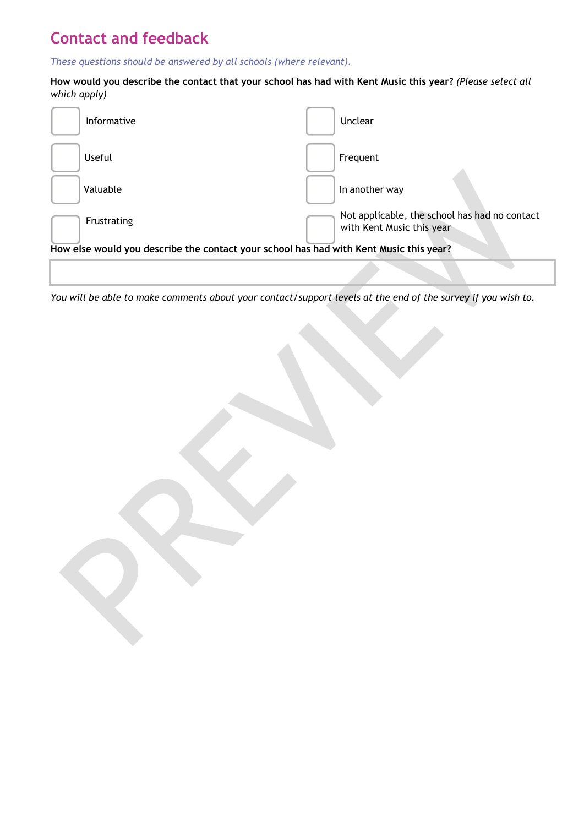## **Contact and feedback**

*These questions should be answered by all schools (where relevant).*

How would you describe the contact that your school has had with Kent Music this year? (Please select all *which apply)*

| Informative                                                                            | Unclear                                                                    |  |  |  |
|----------------------------------------------------------------------------------------|----------------------------------------------------------------------------|--|--|--|
| <b>Useful</b>                                                                          | Frequent                                                                   |  |  |  |
| Valuable                                                                               | In another way                                                             |  |  |  |
| Frustrating                                                                            | Not applicable, the school has had no contact<br>with Kent Music this year |  |  |  |
| How else would you describe the contact your school has had with Kent Music this year? |                                                                            |  |  |  |
|                                                                                        |                                                                            |  |  |  |

You will be able to make comments about your contact/support levels at the end of the survey if you wish to.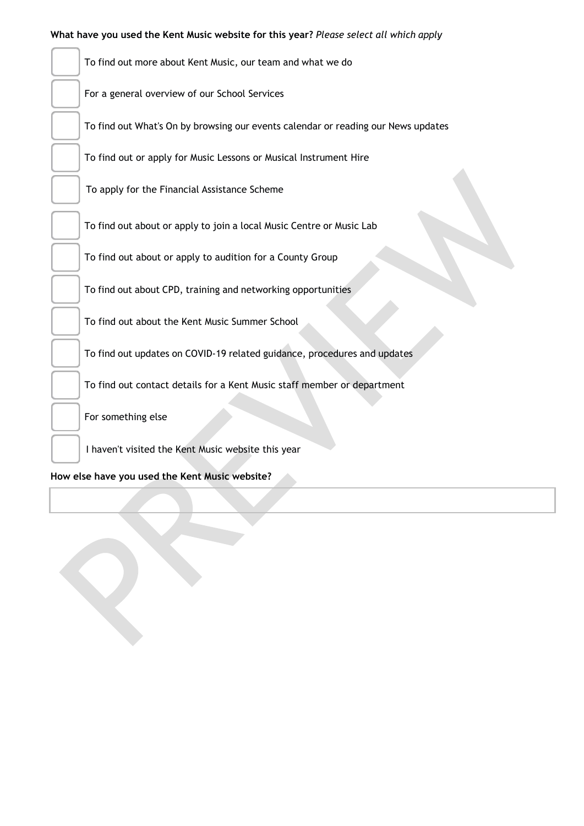### **What have you used the Kent Music website for this year?** *Please select all which apply*

To find out more about Kent Music, our team and what we do

For a general overview of our School Services

To find out What's On by browsing our events calendar or reading our News updates

To find out or apply for Music Lessons or Musical Instrument Hire

To apply for the Financial Assistance Scheme

To find out about or apply to join a local Music Centre or Music Lab

To find out about or apply to audition for a County Group

To find out about CPD, training and networking opportunities

To find out about the Kent Music Summer School

To find out updates on COVID-19 related guidance, procedures and updates

To find out contact details for a Kent Music staff member or department

For something else

I haven't visited the Kent Music website this year

### **How else have you used the Kent Music website?**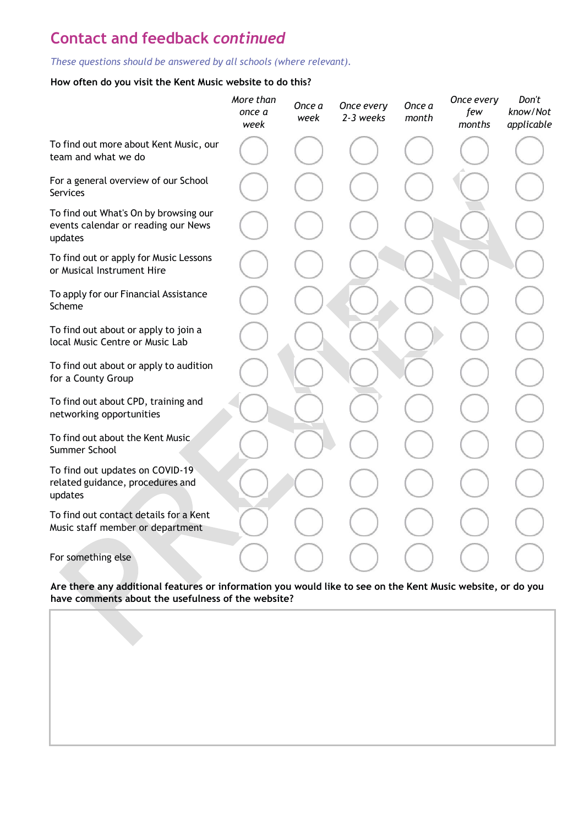## **Contact and feedback** *continued*

*These questions should be answered by all schools (where relevant).*

**How often do you visit the Kent Music website to do this?**

|                                                                                         | More than<br>once a<br>week | Once a<br>week | Once every<br>2-3 weeks | Once a<br>month | Once every<br>few<br>months | Don't<br>know/Not<br>applicable |
|-----------------------------------------------------------------------------------------|-----------------------------|----------------|-------------------------|-----------------|-----------------------------|---------------------------------|
| To find out more about Kent Music, our<br>team and what we do                           |                             |                |                         |                 |                             |                                 |
| For a general overview of our School<br><b>Services</b>                                 |                             |                |                         |                 |                             |                                 |
| To find out What's On by browsing our<br>events calendar or reading our News<br>updates |                             |                |                         |                 |                             |                                 |
| To find out or apply for Music Lessons<br>or Musical Instrument Hire                    |                             |                |                         |                 |                             |                                 |
| To apply for our Financial Assistance<br>Scheme                                         |                             |                |                         |                 |                             |                                 |
| To find out about or apply to join a<br>local Music Centre or Music Lab                 |                             |                |                         |                 |                             |                                 |
| To find out about or apply to audition<br>for a County Group                            |                             |                |                         |                 |                             |                                 |
| To find out about CPD, training and<br>networking opportunities                         |                             |                |                         |                 |                             |                                 |
| To find out about the Kent Music<br>Summer School                                       |                             |                |                         |                 |                             |                                 |
| To find out updates on COVID-19<br>related guidance, procedures and<br>updates          |                             |                |                         |                 |                             |                                 |
| To find out contact details for a Kent<br>Music staff member or department              |                             |                |                         |                 |                             |                                 |
| For something else                                                                      |                             |                |                         |                 |                             |                                 |

Are there any additional features or information you would like to see on the Kent Music website, or do you **have comments about the usefulness of the website?**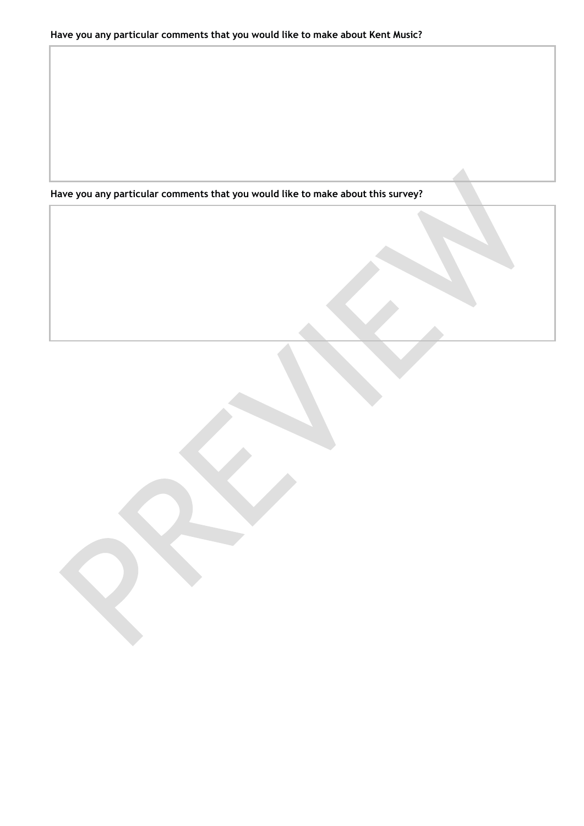**Have you any particular comments that you would like to make about this survey?**